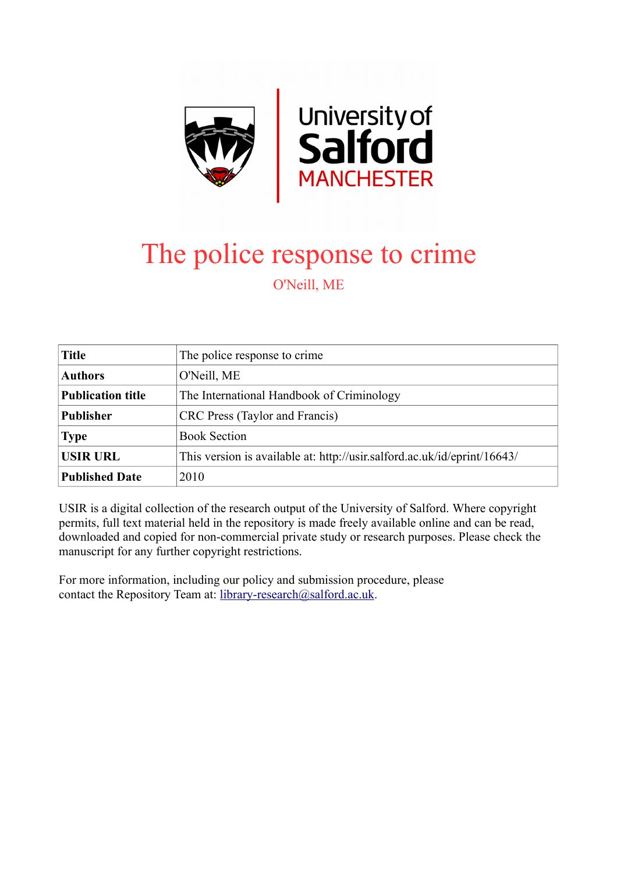

# The police response to crime O'Neill, ME

| <b>Title</b>             | The police response to crime.                                            |
|--------------------------|--------------------------------------------------------------------------|
| <b>Authors</b>           | O'Neill, ME                                                              |
| <b>Publication title</b> | The International Handbook of Criminology                                |
| <b>Publisher</b>         | CRC Press (Taylor and Francis)                                           |
| <b>Type</b>              | <b>Book Section</b>                                                      |
| <b>USIR URL</b>          | This version is available at: http://usir.salford.ac.uk/id/eprint/16643/ |
| <b>Published Date</b>    | 2010                                                                     |

USIR is a digital collection of the research output of the University of Salford. Where copyright permits, full text material held in the repository is made freely available online and can be read, downloaded and copied for non-commercial private study or research purposes. Please check the manuscript for any further copyright restrictions.

For more information, including our policy and submission procedure, please contact the Repository Team at: [library-research@salford.ac.uk.](mailto:library-research@salford.ac.uk)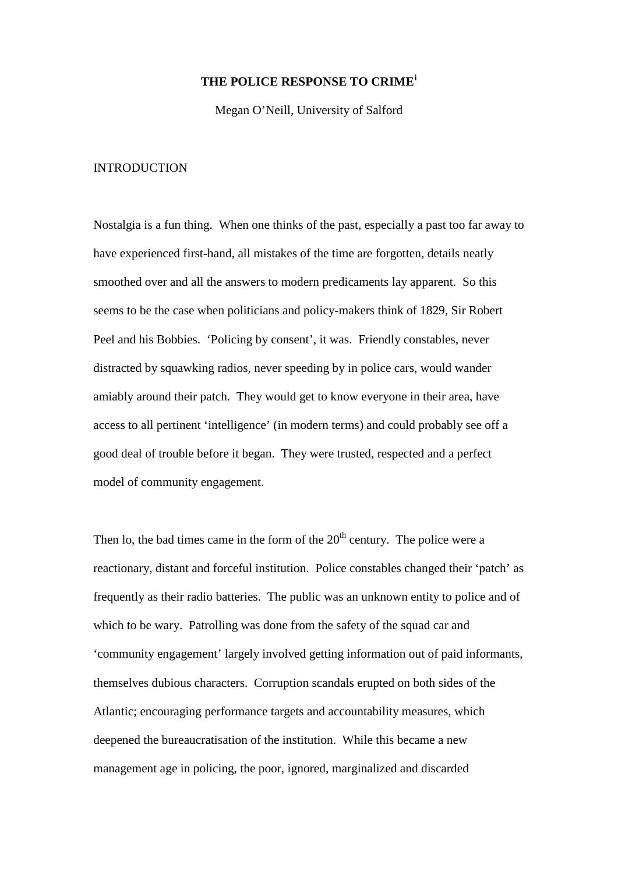# **THE POLICE RESPONSE TO CRIME[i](#page-47-0)**

Megan O'Neill, University of Salford

# **INTRODUCTION**

Nostalgia is a fun thing. When one thinks of the past, especially a past too far away to have experienced first-hand, all mistakes of the time are forgotten, details neatly smoothed over and all the answers to modern predicaments lay apparent. So this seems to be the case when politicians and policy-makers think of 1829, Sir Robert Peel and his Bobbies. 'Policing by consent', it was. Friendly constables, never distracted by squawking radios, never speeding by in police cars, would wander amiably around their patch. They would get to know everyone in their area, have access to all pertinent 'intelligence' (in modern terms) and could probably see off a good deal of trouble before it began. They were trusted, respected and a perfect model of community engagement.

Then lo, the bad times came in the form of the  $20<sup>th</sup>$  century. The police were a reactionary, distant and forceful institution. Police constables changed their 'patch' as frequently as their radio batteries. The public was an unknown entity to police and of which to be wary. Patrolling was done from the safety of the squad car and 'community engagement' largely involved getting information out of paid informants, themselves dubious characters. Corruption scandals erupted on both sides of the Atlantic; encouraging performance targets and accountability measures, which deepened the bureaucratisation of the institution. While this became a new management age in policing, the poor, ignored, marginalized and discarded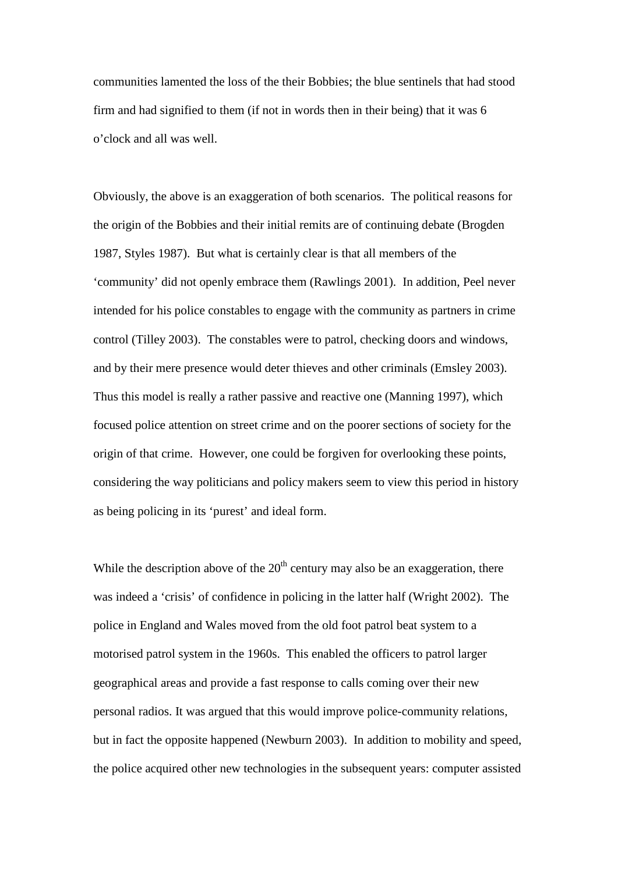communities lamented the loss of the their Bobbies; the blue sentinels that had stood firm and had signified to them (if not in words then in their being) that it was 6 o'clock and all was well.

Obviously, the above is an exaggeration of both scenarios. The political reasons for the origin of the Bobbies and their initial remits are of continuing debate (Brogden 1987, Styles 1987). But what is certainly clear is that all members of the 'community' did not openly embrace them (Rawlings 2001). In addition, Peel never intended for his police constables to engage with the community as partners in crime control (Tilley 2003). The constables were to patrol, checking doors and windows, and by their mere presence would deter thieves and other criminals (Emsley 2003). Thus this model is really a rather passive and reactive one (Manning 1997), which focused police attention on street crime and on the poorer sections of society for the origin of that crime. However, one could be forgiven for overlooking these points, considering the way politicians and policy makers seem to view this period in history as being policing in its 'purest' and ideal form.

While the description above of the  $20<sup>th</sup>$  century may also be an exaggeration, there was indeed a 'crisis' of confidence in policing in the latter half (Wright 2002). The police in England and Wales moved from the old foot patrol beat system to a motorised patrol system in the 1960s. This enabled the officers to patrol larger geographical areas and provide a fast response to calls coming over their new personal radios. It was argued that this would improve police-community relations, but in fact the opposite happened (Newburn 2003). In addition to mobility and speed, the police acquired other new technologies in the subsequent years: computer assisted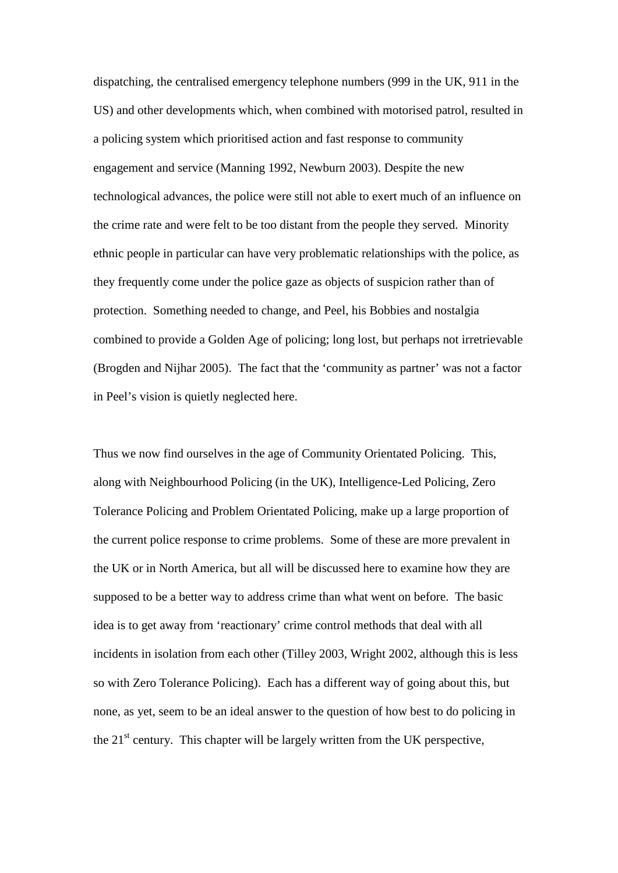dispatching, the centralised emergency telephone numbers (999 in the UK, 911 in the US) and other developments which, when combined with motorised patrol, resulted in a policing system which prioritised action and fast response to community engagement and service (Manning 1992, Newburn 2003). Despite the new technological advances, the police were still not able to exert much of an influence on the crime rate and were felt to be too distant from the people they served. Minority ethnic people in particular can have very problematic relationships with the police, as they frequently come under the police gaze as objects of suspicion rather than of protection. Something needed to change, and Peel, his Bobbies and nostalgia combined to provide a Golden Age of policing; long lost, but perhaps not irretrievable (Brogden and Nijhar 2005). The fact that the 'community as partner' was not a factor in Peel's vision is quietly neglected here.

Thus we now find ourselves in the age of Community Orientated Policing. This, along with Neighbourhood Policing (in the UK), Intelligence-Led Policing, Zero Tolerance Policing and Problem Orientated Policing, make up a large proportion of the current police response to crime problems. Some of these are more prevalent in the UK or in North America, but all will be discussed here to examine how they are supposed to be a better way to address crime than what went on before. The basic idea is to get away from 'reactionary' crime control methods that deal with all incidents in isolation from each other (Tilley 2003, Wright 2002, although this is less so with Zero Tolerance Policing). Each has a different way of going about this, but none, as yet, seem to be an ideal answer to the question of how best to do policing in the  $21<sup>st</sup>$  century. This chapter will be largely written from the UK perspective,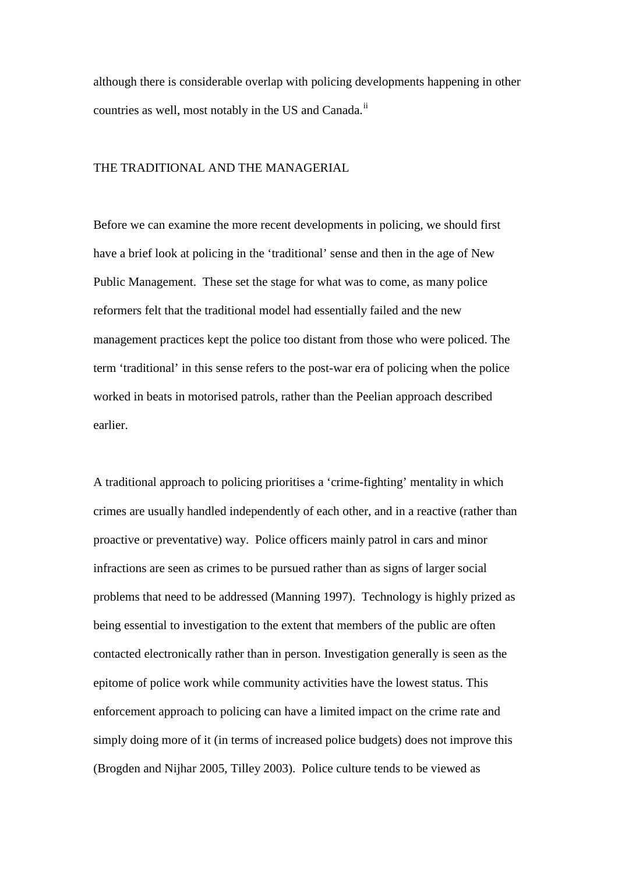although there is considerable overlap with policing developments happening in other countries as well, most notably in the US and Canada.<sup>[ii](#page-47-1)</sup>

# THE TRADITIONAL AND THE MANAGERIAL

Before we can examine the more recent developments in policing, we should first have a brief look at policing in the 'traditional' sense and then in the age of New Public Management. These set the stage for what was to come, as many police reformers felt that the traditional model had essentially failed and the new management practices kept the police too distant from those who were policed. The term 'traditional' in this sense refers to the post-war era of policing when the police worked in beats in motorised patrols, rather than the Peelian approach described earlier.

A traditional approach to policing prioritises a 'crime-fighting' mentality in which crimes are usually handled independently of each other, and in a reactive (rather than proactive or preventative) way. Police officers mainly patrol in cars and minor infractions are seen as crimes to be pursued rather than as signs of larger social problems that need to be addressed (Manning 1997). Technology is highly prized as being essential to investigation to the extent that members of the public are often contacted electronically rather than in person. Investigation generally is seen as the epitome of police work while community activities have the lowest status. This enforcement approach to policing can have a limited impact on the crime rate and simply doing more of it (in terms of increased police budgets) does not improve this (Brogden and Nijhar 2005, Tilley 2003). Police culture tends to be viewed as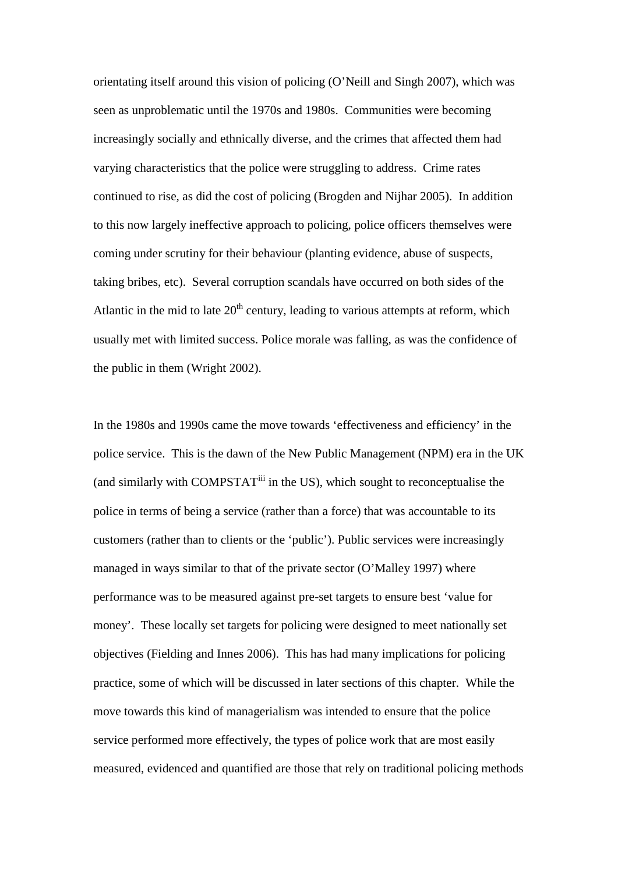orientating itself around this vision of policing (O'Neill and Singh 2007), which was seen as unproblematic until the 1970s and 1980s. Communities were becoming increasingly socially and ethnically diverse, and the crimes that affected them had varying characteristics that the police were struggling to address. Crime rates continued to rise, as did the cost of policing (Brogden and Nijhar 2005). In addition to this now largely ineffective approach to policing, police officers themselves were coming under scrutiny for their behaviour (planting evidence, abuse of suspects, taking bribes, etc). Several corruption scandals have occurred on both sides of the Atlantic in the mid to late  $20<sup>th</sup>$  century, leading to various attempts at reform, which usually met with limited success. Police morale was falling, as was the confidence of the public in them (Wright 2002).

In the 1980s and 1990s came the move towards 'effectiveness and efficiency' in the police service. This is the dawn of the New Public Management (NPM) era in the UK (and similarly with COMPSTAT<sup>[iii](#page-47-2)</sup> in the US), which sought to reconceptualise the police in terms of being a service (rather than a force) that was accountable to its customers (rather than to clients or the 'public'). Public services were increasingly managed in ways similar to that of the private sector (O'Malley 1997) where performance was to be measured against pre-set targets to ensure best 'value for money'. These locally set targets for policing were designed to meet nationally set objectives (Fielding and Innes 2006). This has had many implications for policing practice, some of which will be discussed in later sections of this chapter. While the move towards this kind of managerialism was intended to ensure that the police service performed more effectively, the types of police work that are most easily measured, evidenced and quantified are those that rely on traditional policing methods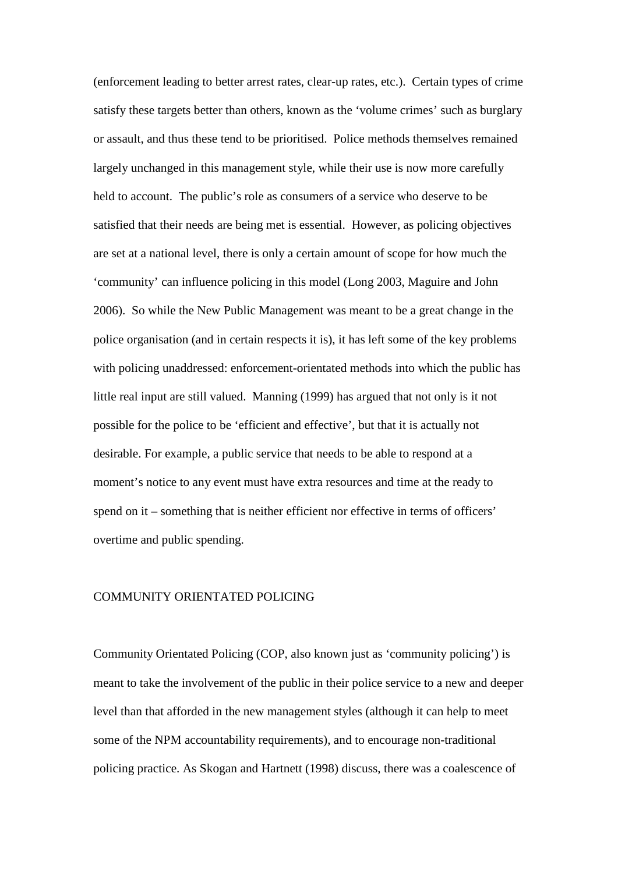(enforcement leading to better arrest rates, clear-up rates, etc.). Certain types of crime satisfy these targets better than others, known as the 'volume crimes' such as burglary or assault, and thus these tend to be prioritised. Police methods themselves remained largely unchanged in this management style, while their use is now more carefully held to account. The public's role as consumers of a service who deserve to be satisfied that their needs are being met is essential. However, as policing objectives are set at a national level, there is only a certain amount of scope for how much the 'community' can influence policing in this model (Long 2003, Maguire and John 2006). So while the New Public Management was meant to be a great change in the police organisation (and in certain respects it is), it has left some of the key problems with policing unaddressed: enforcement-orientated methods into which the public has little real input are still valued. Manning (1999) has argued that not only is it not possible for the police to be 'efficient and effective', but that it is actually not desirable. For example, a public service that needs to be able to respond at a moment's notice to any event must have extra resources and time at the ready to spend on it – something that is neither efficient nor effective in terms of officers' overtime and public spending.

## COMMUNITY ORIENTATED POLICING

Community Orientated Policing (COP, also known just as 'community policing') is meant to take the involvement of the public in their police service to a new and deeper level than that afforded in the new management styles (although it can help to meet some of the NPM accountability requirements), and to encourage non-traditional policing practice. As Skogan and Hartnett (1998) discuss, there was a coalescence of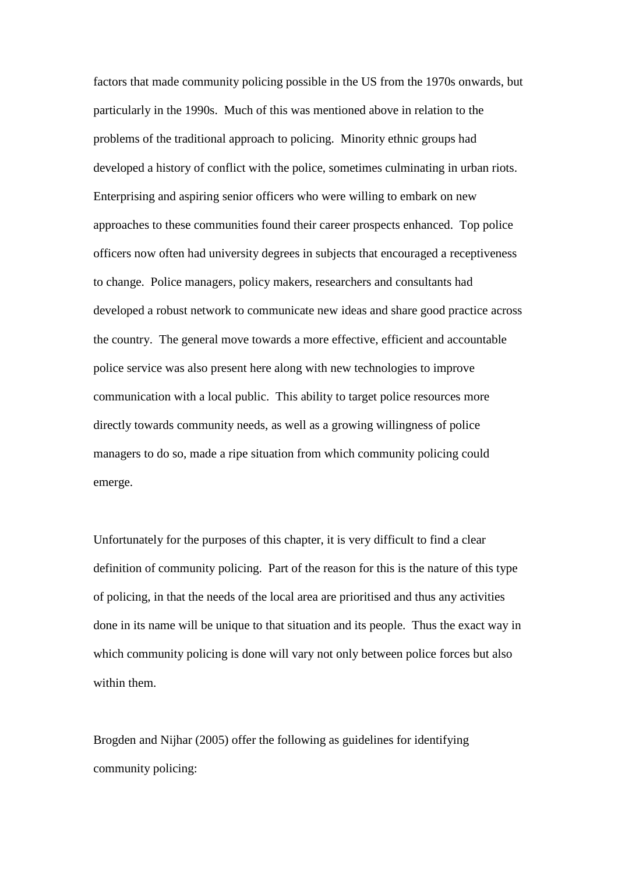factors that made community policing possible in the US from the 1970s onwards, but particularly in the 1990s. Much of this was mentioned above in relation to the problems of the traditional approach to policing. Minority ethnic groups had developed a history of conflict with the police, sometimes culminating in urban riots. Enterprising and aspiring senior officers who were willing to embark on new approaches to these communities found their career prospects enhanced. Top police officers now often had university degrees in subjects that encouraged a receptiveness to change. Police managers, policy makers, researchers and consultants had developed a robust network to communicate new ideas and share good practice across the country. The general move towards a more effective, efficient and accountable police service was also present here along with new technologies to improve communication with a local public. This ability to target police resources more directly towards community needs, as well as a growing willingness of police managers to do so, made a ripe situation from which community policing could emerge.

Unfortunately for the purposes of this chapter, it is very difficult to find a clear definition of community policing. Part of the reason for this is the nature of this type of policing, in that the needs of the local area are prioritised and thus any activities done in its name will be unique to that situation and its people. Thus the exact way in which community policing is done will vary not only between police forces but also within them.

Brogden and Nijhar (2005) offer the following as guidelines for identifying community policing: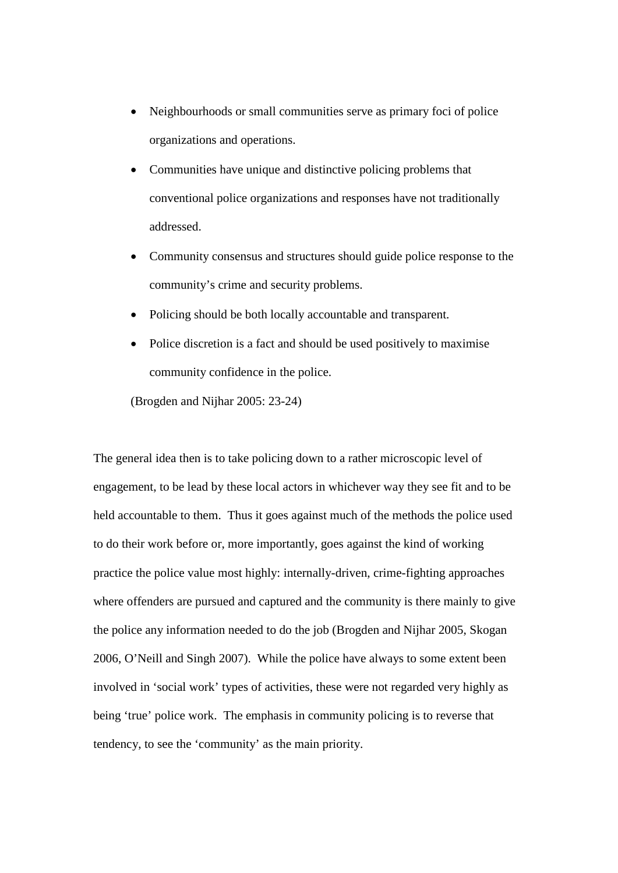- Neighbourhoods or small communities serve as primary foci of police organizations and operations.
- Communities have unique and distinctive policing problems that conventional police organizations and responses have not traditionally addressed.
- Community consensus and structures should guide police response to the community's crime and security problems.
- Policing should be both locally accountable and transparent.
- Police discretion is a fact and should be used positively to maximise community confidence in the police.

(Brogden and Nijhar 2005: 23-24)

The general idea then is to take policing down to a rather microscopic level of engagement, to be lead by these local actors in whichever way they see fit and to be held accountable to them. Thus it goes against much of the methods the police used to do their work before or, more importantly, goes against the kind of working practice the police value most highly: internally-driven, crime-fighting approaches where offenders are pursued and captured and the community is there mainly to give the police any information needed to do the job (Brogden and Nijhar 2005, Skogan 2006, O'Neill and Singh 2007). While the police have always to some extent been involved in 'social work' types of activities, these were not regarded very highly as being 'true' police work. The emphasis in community policing is to reverse that tendency, to see the 'community' as the main priority.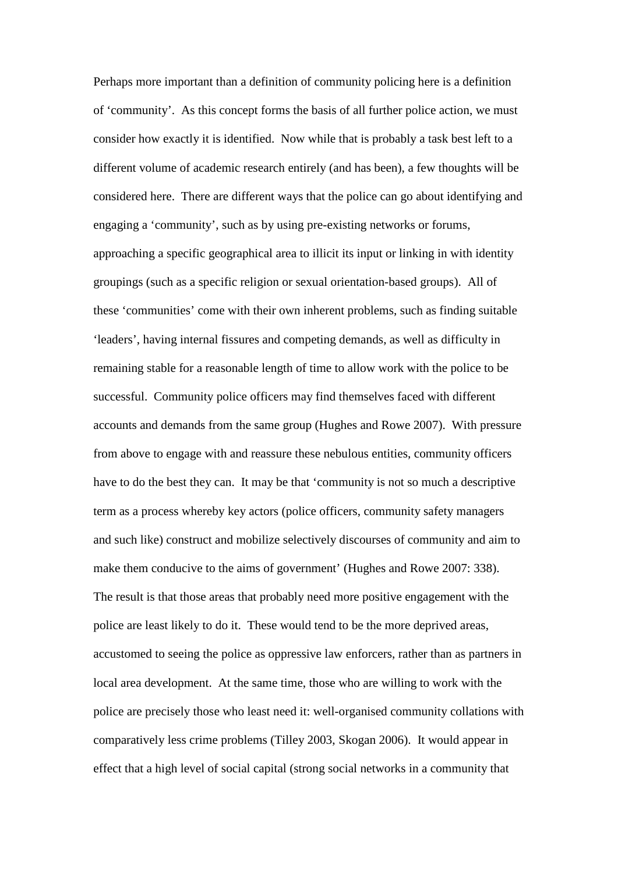Perhaps more important than a definition of community policing here is a definition of 'community'. As this concept forms the basis of all further police action, we must consider how exactly it is identified. Now while that is probably a task best left to a different volume of academic research entirely (and has been), a few thoughts will be considered here. There are different ways that the police can go about identifying and engaging a 'community', such as by using pre-existing networks or forums, approaching a specific geographical area to illicit its input or linking in with identity groupings (such as a specific religion or sexual orientation-based groups). All of these 'communities' come with their own inherent problems, such as finding suitable 'leaders', having internal fissures and competing demands, as well as difficulty in remaining stable for a reasonable length of time to allow work with the police to be successful. Community police officers may find themselves faced with different accounts and demands from the same group (Hughes and Rowe 2007). With pressure from above to engage with and reassure these nebulous entities, community officers have to do the best they can. It may be that 'community is not so much a descriptive term as a process whereby key actors (police officers, community safety managers and such like) construct and mobilize selectively discourses of community and aim to make them conducive to the aims of government' (Hughes and Rowe 2007: 338). The result is that those areas that probably need more positive engagement with the police are least likely to do it. These would tend to be the more deprived areas, accustomed to seeing the police as oppressive law enforcers, rather than as partners in local area development. At the same time, those who are willing to work with the police are precisely those who least need it: well-organised community collations with comparatively less crime problems (Tilley 2003, Skogan 2006). It would appear in effect that a high level of social capital (strong social networks in a community that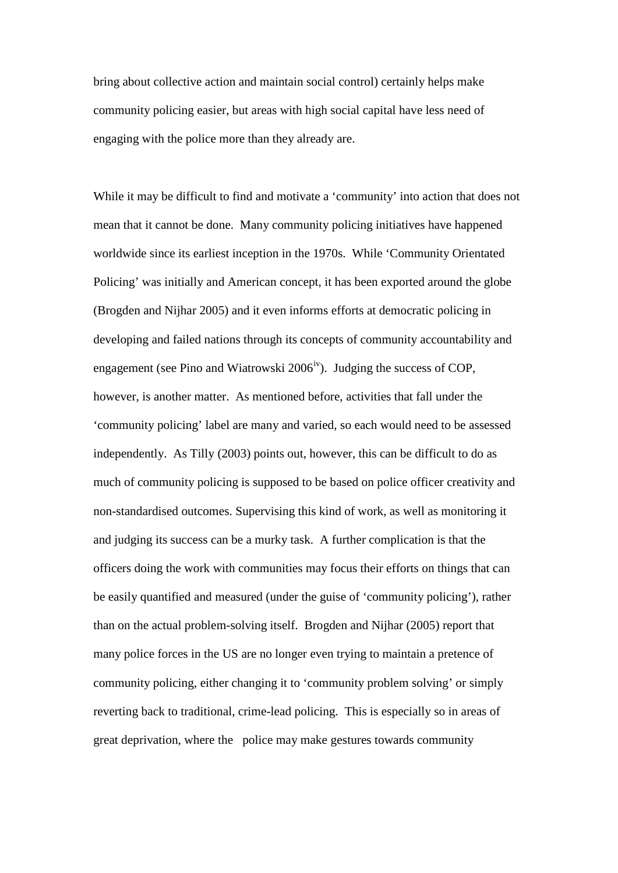bring about collective action and maintain social control) certainly helps make community policing easier, but areas with high social capital have less need of engaging with the police more than they already are.

While it may be difficult to find and motivate a 'community' into action that does not mean that it cannot be done. Many community policing initiatives have happened worldwide since its earliest inception in the 1970s. While 'Community Orientated Policing' was initially and American concept, it has been exported around the globe (Brogden and Nijhar 2005) and it even informs efforts at democratic policing in developing and failed nations through its concepts of community accountability and engagement (see Pino and Wiatrowski  $2006<sup>iv</sup>$ ). Judging the success of COP, however, is another matter. As mentioned before, activities that fall under the 'community policing' label are many and varied, so each would need to be assessed independently. As Tilly (2003) points out, however, this can be difficult to do as much of community policing is supposed to be based on police officer creativity and non-standardised outcomes. Supervising this kind of work, as well as monitoring it and judging its success can be a murky task. A further complication is that the officers doing the work with communities may focus their efforts on things that can be easily quantified and measured (under the guise of 'community policing'), rather than on the actual problem-solving itself. Brogden and Nijhar (2005) report that many police forces in the US are no longer even trying to maintain a pretence of community policing, either changing it to 'community problem solving' or simply reverting back to traditional, crime-lead policing. This is especially so in areas of great deprivation, where the police may make gestures towards community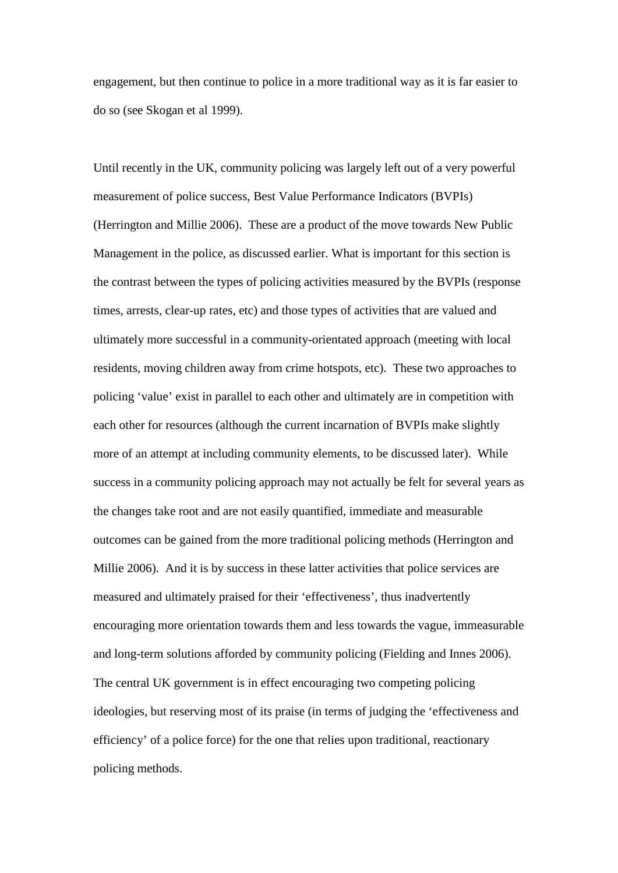engagement, but then continue to police in a more traditional way as it is far easier to do so (see Skogan et al 1999).

Until recently in the UK, community policing was largely left out of a very powerful measurement of police success, Best Value Performance Indicators (BVPIs) (Herrington and Millie 2006). These are a product of the move towards New Public Management in the police, as discussed earlier. What is important for this section is the contrast between the types of policing activities measured by the BVPIs (response times, arrests, clear-up rates, etc) and those types of activities that are valued and ultimately more successful in a community-orientated approach (meeting with local residents, moving children away from crime hotspots, etc). These two approaches to policing 'value' exist in parallel to each other and ultimately are in competition with each other for resources (although the current incarnation of BVPIs make slightly more of an attempt at including community elements, to be discussed later). While success in a community policing approach may not actually be felt for several years as the changes take root and are not easily quantified, immediate and measurable outcomes can be gained from the more traditional policing methods (Herrington and Millie 2006). And it is by success in these latter activities that police services are measured and ultimately praised for their 'effectiveness', thus inadvertently encouraging more orientation towards them and less towards the vague, immeasurable and long-term solutions afforded by community policing (Fielding and Innes 2006). The central UK government is in effect encouraging two competing policing ideologies, but reserving most of its praise (in terms of judging the 'effectiveness and efficiency' of a police force) for the one that relies upon traditional, reactionary policing methods.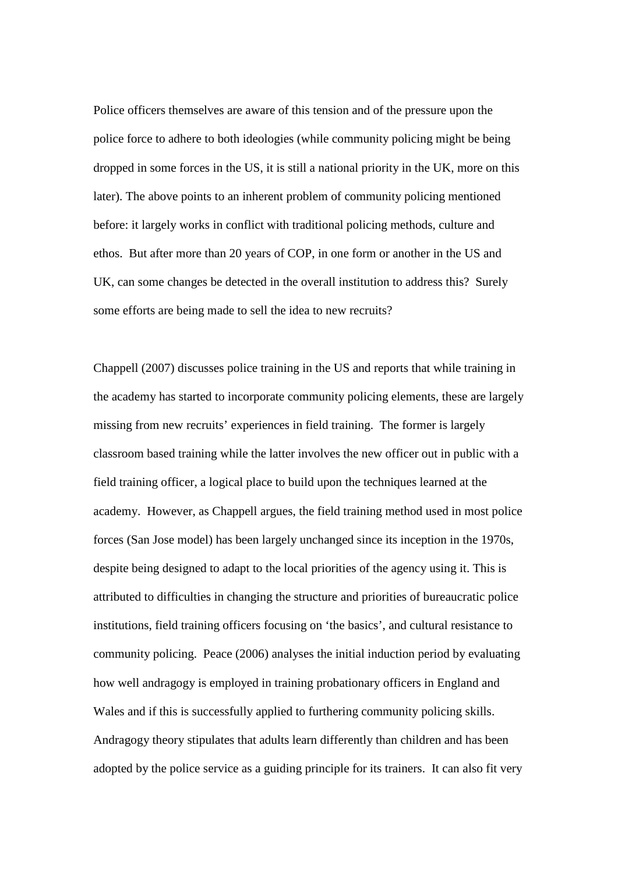Police officers themselves are aware of this tension and of the pressure upon the police force to adhere to both ideologies (while community policing might be being dropped in some forces in the US, it is still a national priority in the UK, more on this later). The above points to an inherent problem of community policing mentioned before: it largely works in conflict with traditional policing methods, culture and ethos. But after more than 20 years of COP, in one form or another in the US and UK, can some changes be detected in the overall institution to address this? Surely some efforts are being made to sell the idea to new recruits?

Chappell (2007) discusses police training in the US and reports that while training in the academy has started to incorporate community policing elements, these are largely missing from new recruits' experiences in field training. The former is largely classroom based training while the latter involves the new officer out in public with a field training officer, a logical place to build upon the techniques learned at the academy. However, as Chappell argues, the field training method used in most police forces (San Jose model) has been largely unchanged since its inception in the 1970s, despite being designed to adapt to the local priorities of the agency using it. This is attributed to difficulties in changing the structure and priorities of bureaucratic police institutions, field training officers focusing on 'the basics', and cultural resistance to community policing. Peace (2006) analyses the initial induction period by evaluating how well andragogy is employed in training probationary officers in England and Wales and if this is successfully applied to furthering community policing skills. Andragogy theory stipulates that adults learn differently than children and has been adopted by the police service as a guiding principle for its trainers. It can also fit very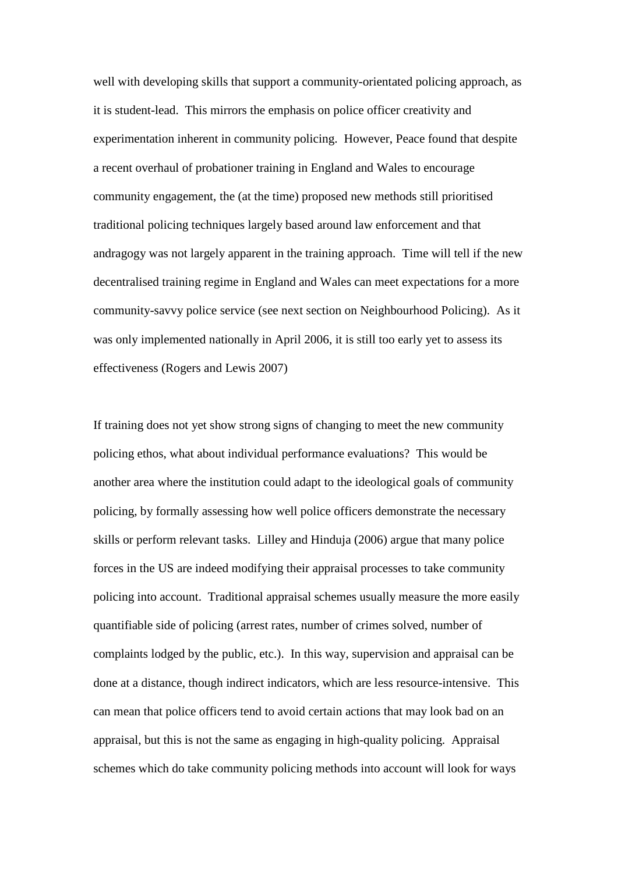well with developing skills that support a community-orientated policing approach, as it is student-lead. This mirrors the emphasis on police officer creativity and experimentation inherent in community policing. However, Peace found that despite a recent overhaul of probationer training in England and Wales to encourage community engagement, the (at the time) proposed new methods still prioritised traditional policing techniques largely based around law enforcement and that andragogy was not largely apparent in the training approach. Time will tell if the new decentralised training regime in England and Wales can meet expectations for a more community-savvy police service (see next section on Neighbourhood Policing). As it was only implemented nationally in April 2006, it is still too early yet to assess its effectiveness (Rogers and Lewis 2007)

If training does not yet show strong signs of changing to meet the new community policing ethos, what about individual performance evaluations? This would be another area where the institution could adapt to the ideological goals of community policing, by formally assessing how well police officers demonstrate the necessary skills or perform relevant tasks. Lilley and Hinduja (2006) argue that many police forces in the US are indeed modifying their appraisal processes to take community policing into account. Traditional appraisal schemes usually measure the more easily quantifiable side of policing (arrest rates, number of crimes solved, number of complaints lodged by the public, etc.). In this way, supervision and appraisal can be done at a distance, though indirect indicators, which are less resource-intensive. This can mean that police officers tend to avoid certain actions that may look bad on an appraisal, but this is not the same as engaging in high-quality policing. Appraisal schemes which do take community policing methods into account will look for ways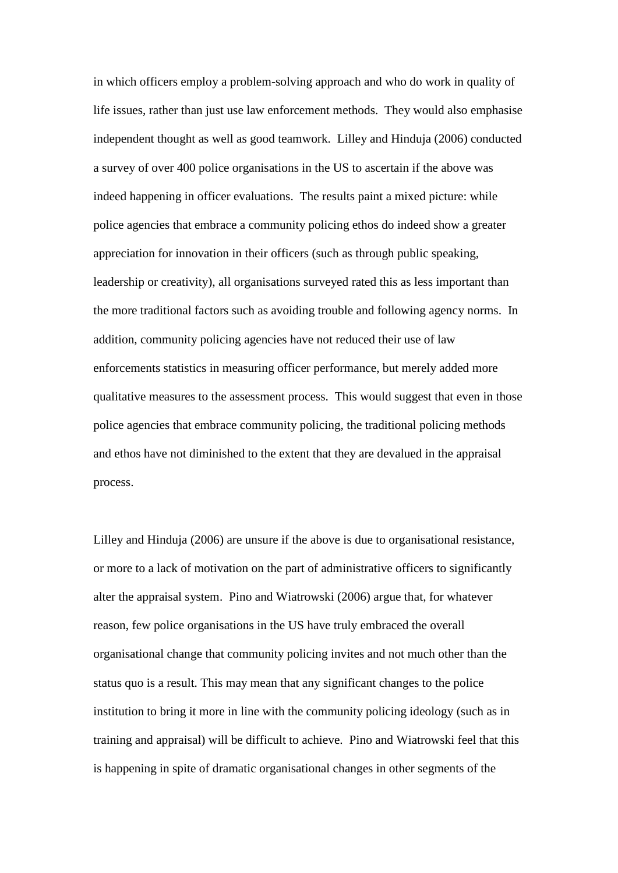in which officers employ a problem-solving approach and who do work in quality of life issues, rather than just use law enforcement methods. They would also emphasise independent thought as well as good teamwork. Lilley and Hinduja (2006) conducted a survey of over 400 police organisations in the US to ascertain if the above was indeed happening in officer evaluations. The results paint a mixed picture: while police agencies that embrace a community policing ethos do indeed show a greater appreciation for innovation in their officers (such as through public speaking, leadership or creativity), all organisations surveyed rated this as less important than the more traditional factors such as avoiding trouble and following agency norms. In addition, community policing agencies have not reduced their use of law enforcements statistics in measuring officer performance, but merely added more qualitative measures to the assessment process. This would suggest that even in those police agencies that embrace community policing, the traditional policing methods and ethos have not diminished to the extent that they are devalued in the appraisal process.

Lilley and Hinduja (2006) are unsure if the above is due to organisational resistance, or more to a lack of motivation on the part of administrative officers to significantly alter the appraisal system. Pino and Wiatrowski (2006) argue that, for whatever reason, few police organisations in the US have truly embraced the overall organisational change that community policing invites and not much other than the status quo is a result. This may mean that any significant changes to the police institution to bring it more in line with the community policing ideology (such as in training and appraisal) will be difficult to achieve. Pino and Wiatrowski feel that this is happening in spite of dramatic organisational changes in other segments of the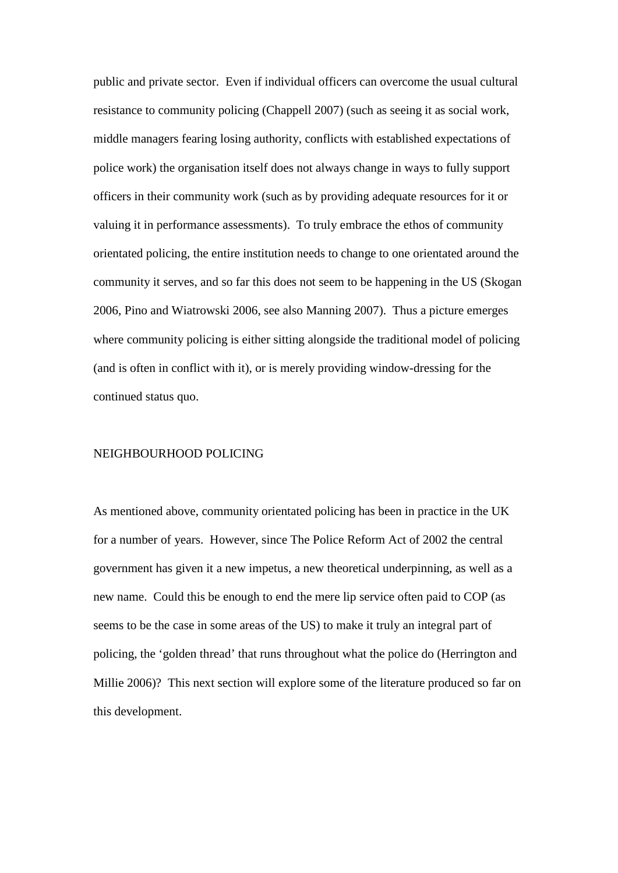public and private sector. Even if individual officers can overcome the usual cultural resistance to community policing (Chappell 2007) (such as seeing it as social work, middle managers fearing losing authority, conflicts with established expectations of police work) the organisation itself does not always change in ways to fully support officers in their community work (such as by providing adequate resources for it or valuing it in performance assessments). To truly embrace the ethos of community orientated policing, the entire institution needs to change to one orientated around the community it serves, and so far this does not seem to be happening in the US (Skogan 2006, Pino and Wiatrowski 2006, see also Manning 2007). Thus a picture emerges where community policing is either sitting alongside the traditional model of policing (and is often in conflict with it), or is merely providing window-dressing for the continued status quo.

#### NEIGHBOURHOOD POLICING

As mentioned above, community orientated policing has been in practice in the UK for a number of years. However, since The Police Reform Act of 2002 the central government has given it a new impetus, a new theoretical underpinning, as well as a new name. Could this be enough to end the mere lip service often paid to COP (as seems to be the case in some areas of the US) to make it truly an integral part of policing, the 'golden thread' that runs throughout what the police do (Herrington and Millie 2006)? This next section will explore some of the literature produced so far on this development.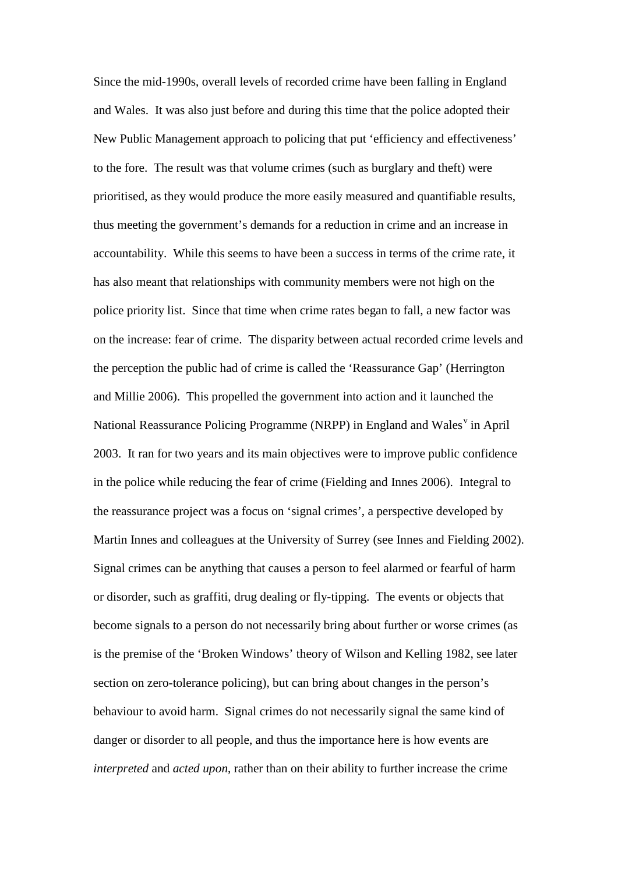Since the mid-1990s, overall levels of recorded crime have been falling in England and Wales. It was also just before and during this time that the police adopted their New Public Management approach to policing that put 'efficiency and effectiveness' to the fore. The result was that volume crimes (such as burglary and theft) were prioritised, as they would produce the more easily measured and quantifiable results, thus meeting the government's demands for a reduction in crime and an increase in accountability. While this seems to have been a success in terms of the crime rate, it has also meant that relationships with community members were not high on the police priority list. Since that time when crime rates began to fall, a new factor was on the increase: fear of crime. The disparity between actual recorded crime levels and the perception the public had of crime is called the 'Reassurance Gap' (Herrington and Millie 2006). This propelled the government into action and it launched the National Reassurance Policing Programme (NRPP) in England and Wales<sup>[v](#page-47-4)</sup> in April 2003. It ran for two years and its main objectives were to improve public confidence in the police while reducing the fear of crime (Fielding and Innes 2006). Integral to the reassurance project was a focus on 'signal crimes', a perspective developed by Martin Innes and colleagues at the University of Surrey (see Innes and Fielding 2002). Signal crimes can be anything that causes a person to feel alarmed or fearful of harm or disorder, such as graffiti, drug dealing or fly-tipping. The events or objects that become signals to a person do not necessarily bring about further or worse crimes (as is the premise of the 'Broken Windows' theory of Wilson and Kelling 1982, see later section on zero-tolerance policing), but can bring about changes in the person's behaviour to avoid harm. Signal crimes do not necessarily signal the same kind of danger or disorder to all people, and thus the importance here is how events are *interpreted* and *acted upon*, rather than on their ability to further increase the crime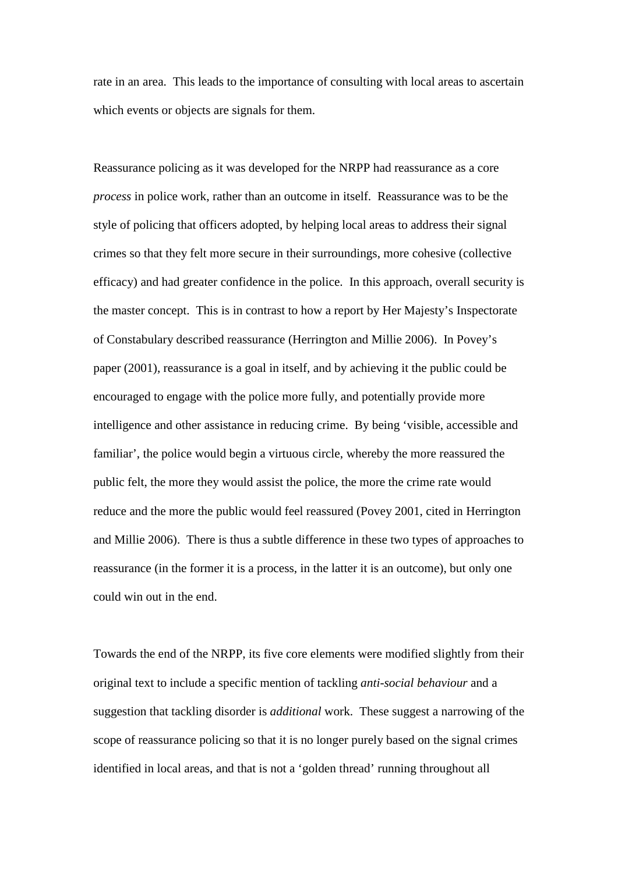rate in an area. This leads to the importance of consulting with local areas to ascertain which events or objects are signals for them.

Reassurance policing as it was developed for the NRPP had reassurance as a core *process* in police work, rather than an outcome in itself. Reassurance was to be the style of policing that officers adopted, by helping local areas to address their signal crimes so that they felt more secure in their surroundings, more cohesive (collective efficacy) and had greater confidence in the police. In this approach, overall security is the master concept. This is in contrast to how a report by Her Majesty's Inspectorate of Constabulary described reassurance (Herrington and Millie 2006). In Povey's paper (2001), reassurance is a goal in itself, and by achieving it the public could be encouraged to engage with the police more fully, and potentially provide more intelligence and other assistance in reducing crime. By being 'visible, accessible and familiar', the police would begin a virtuous circle, whereby the more reassured the public felt, the more they would assist the police, the more the crime rate would reduce and the more the public would feel reassured (Povey 2001, cited in Herrington and Millie 2006). There is thus a subtle difference in these two types of approaches to reassurance (in the former it is a process, in the latter it is an outcome), but only one could win out in the end.

Towards the end of the NRPP, its five core elements were modified slightly from their original text to include a specific mention of tackling *anti-social behaviour* and a suggestion that tackling disorder is *additional* work. These suggest a narrowing of the scope of reassurance policing so that it is no longer purely based on the signal crimes identified in local areas, and that is not a 'golden thread' running throughout all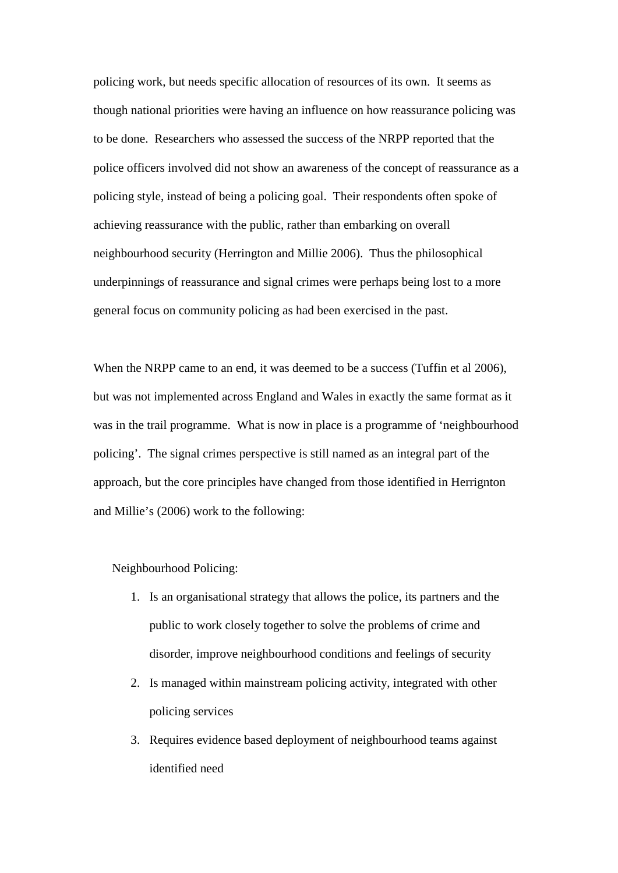policing work, but needs specific allocation of resources of its own. It seems as though national priorities were having an influence on how reassurance policing was to be done. Researchers who assessed the success of the NRPP reported that the police officers involved did not show an awareness of the concept of reassurance as a policing style, instead of being a policing goal. Their respondents often spoke of achieving reassurance with the public, rather than embarking on overall neighbourhood security (Herrington and Millie 2006). Thus the philosophical underpinnings of reassurance and signal crimes were perhaps being lost to a more general focus on community policing as had been exercised in the past.

When the NRPP came to an end, it was deemed to be a success (Tuffin et al 2006), but was not implemented across England and Wales in exactly the same format as it was in the trail programme. What is now in place is a programme of 'neighbourhood policing'. The signal crimes perspective is still named as an integral part of the approach, but the core principles have changed from those identified in Herrignton and Millie's (2006) work to the following:

Neighbourhood Policing:

- 1. Is an organisational strategy that allows the police, its partners and the public to work closely together to solve the problems of crime and disorder, improve neighbourhood conditions and feelings of security
- 2. Is managed within mainstream policing activity, integrated with other policing services
- 3. Requires evidence based deployment of neighbourhood teams against identified need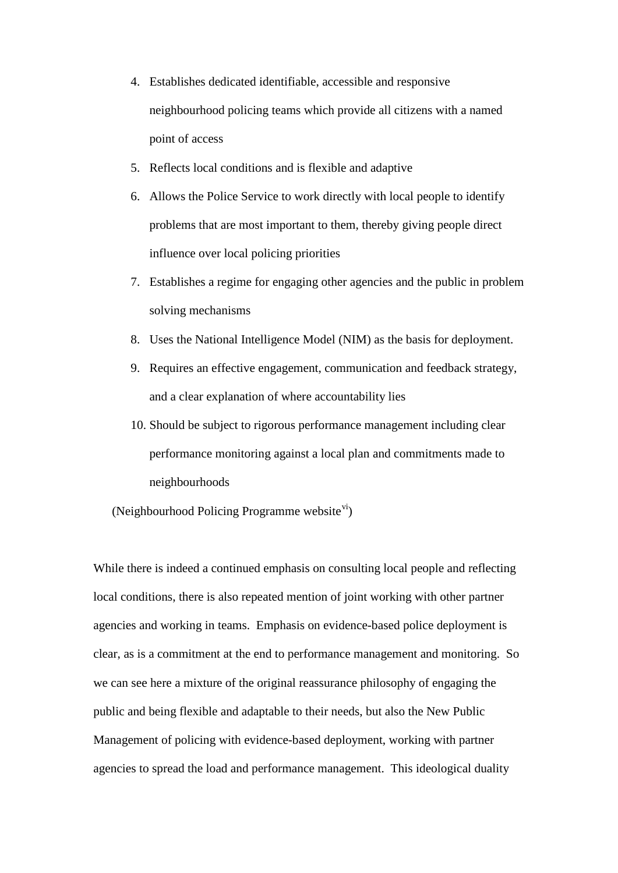- 4. Establishes dedicated identifiable, accessible and responsive neighbourhood policing teams which provide all citizens with a named point of access
- 5. Reflects local conditions and is flexible and adaptive
- 6. Allows the Police Service to work directly with local people to identify problems that are most important to them, thereby giving people direct influence over local policing priorities
- 7. Establishes a regime for engaging other agencies and the public in problem solving mechanisms
- 8. Uses the National Intelligence Model (NIM) as the basis for deployment.
- 9. Requires an effective engagement, communication and feedback strategy, and a clear explanation of where accountability lies
- 10. Should be subject to rigorous performance management including clear performance monitoring against a local plan and commitments made to neighbourhoods

(Neighbourhood Policing Programme website $\overline{v}$ i)

While there is indeed a continued emphasis on consulting local people and reflecting local conditions, there is also repeated mention of joint working with other partner agencies and working in teams. Emphasis on evidence-based police deployment is clear, as is a commitment at the end to performance management and monitoring. So we can see here a mixture of the original reassurance philosophy of engaging the public and being flexible and adaptable to their needs, but also the New Public Management of policing with evidence-based deployment, working with partner agencies to spread the load and performance management. This ideological duality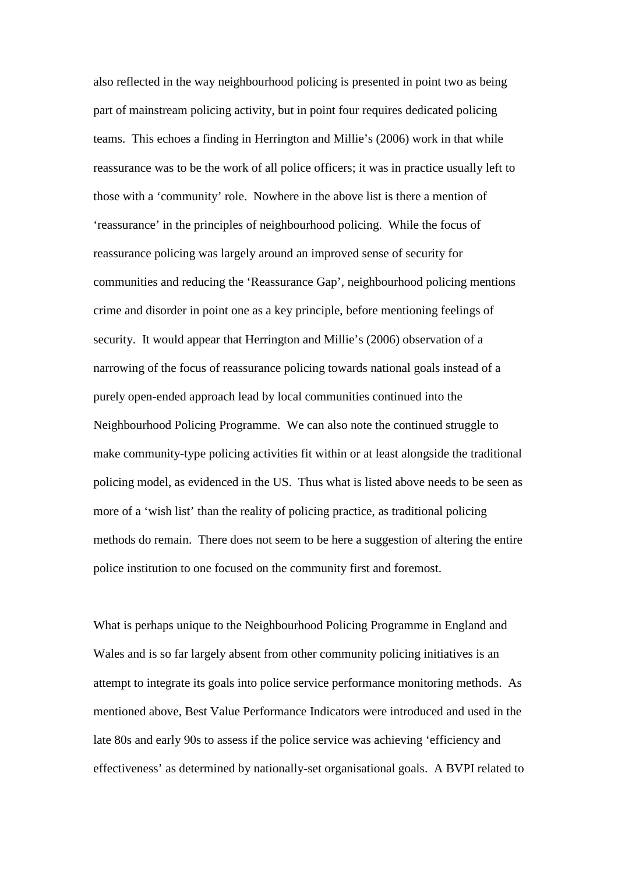also reflected in the way neighbourhood policing is presented in point two as being part of mainstream policing activity, but in point four requires dedicated policing teams. This echoes a finding in Herrington and Millie's (2006) work in that while reassurance was to be the work of all police officers; it was in practice usually left to those with a 'community' role. Nowhere in the above list is there a mention of 'reassurance' in the principles of neighbourhood policing. While the focus of reassurance policing was largely around an improved sense of security for communities and reducing the 'Reassurance Gap', neighbourhood policing mentions crime and disorder in point one as a key principle, before mentioning feelings of security. It would appear that Herrington and Millie's (2006) observation of a narrowing of the focus of reassurance policing towards national goals instead of a purely open-ended approach lead by local communities continued into the Neighbourhood Policing Programme. We can also note the continued struggle to make community-type policing activities fit within or at least alongside the traditional policing model, as evidenced in the US. Thus what is listed above needs to be seen as more of a 'wish list' than the reality of policing practice, as traditional policing methods do remain. There does not seem to be here a suggestion of altering the entire police institution to one focused on the community first and foremost.

What is perhaps unique to the Neighbourhood Policing Programme in England and Wales and is so far largely absent from other community policing initiatives is an attempt to integrate its goals into police service performance monitoring methods. As mentioned above, Best Value Performance Indicators were introduced and used in the late 80s and early 90s to assess if the police service was achieving 'efficiency and effectiveness' as determined by nationally-set organisational goals. A BVPI related to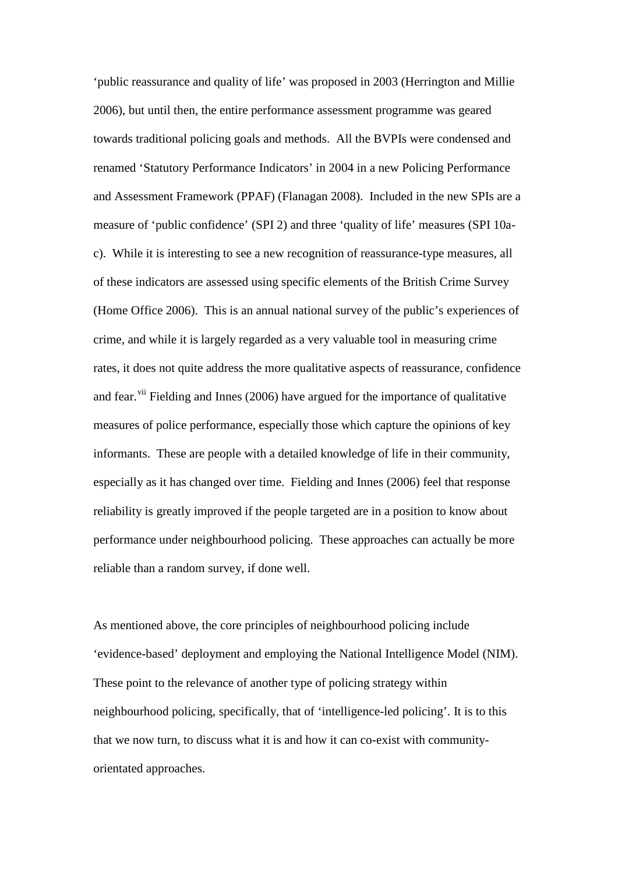'public reassurance and quality of life' was proposed in 2003 (Herrington and Millie 2006), but until then, the entire performance assessment programme was geared towards traditional policing goals and methods. All the BVPIs were condensed and renamed 'Statutory Performance Indicators' in 2004 in a new Policing Performance and Assessment Framework (PPAF) (Flanagan 2008). Included in the new SPIs are a measure of 'public confidence' (SPI 2) and three 'quality of life' measures (SPI 10ac). While it is interesting to see a new recognition of reassurance-type measures, all of these indicators are assessed using specific elements of the British Crime Survey (Home Office 2006). This is an annual national survey of the public's experiences of crime, and while it is largely regarded as a very valuable tool in measuring crime rates, it does not quite address the more qualitative aspects of reassurance, confidence and fear.<sup>[vii](#page-47-6)</sup> Fielding and Innes (2006) have argued for the importance of qualitative measures of police performance, especially those which capture the opinions of key informants. These are people with a detailed knowledge of life in their community, especially as it has changed over time. Fielding and Innes (2006) feel that response reliability is greatly improved if the people targeted are in a position to know about performance under neighbourhood policing. These approaches can actually be more reliable than a random survey, if done well.

As mentioned above, the core principles of neighbourhood policing include 'evidence-based' deployment and employing the National Intelligence Model (NIM). These point to the relevance of another type of policing strategy within neighbourhood policing, specifically, that of 'intelligence-led policing'. It is to this that we now turn, to discuss what it is and how it can co-exist with communityorientated approaches.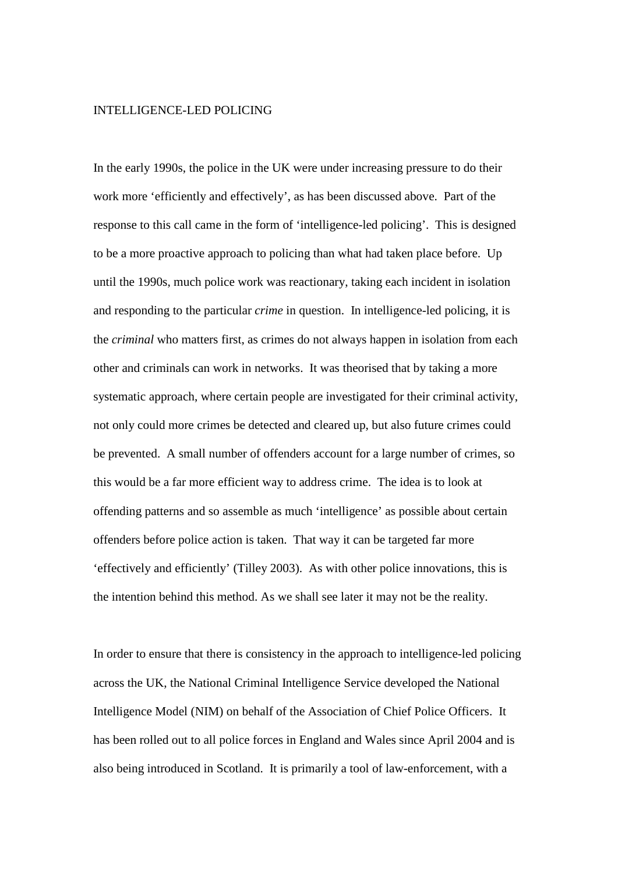#### INTELLIGENCE-LED POLICING

In the early 1990s, the police in the UK were under increasing pressure to do their work more 'efficiently and effectively', as has been discussed above. Part of the response to this call came in the form of 'intelligence-led policing'. This is designed to be a more proactive approach to policing than what had taken place before. Up until the 1990s, much police work was reactionary, taking each incident in isolation and responding to the particular *crime* in question. In intelligence-led policing, it is the *criminal* who matters first, as crimes do not always happen in isolation from each other and criminals can work in networks. It was theorised that by taking a more systematic approach, where certain people are investigated for their criminal activity, not only could more crimes be detected and cleared up, but also future crimes could be prevented. A small number of offenders account for a large number of crimes, so this would be a far more efficient way to address crime. The idea is to look at offending patterns and so assemble as much 'intelligence' as possible about certain offenders before police action is taken. That way it can be targeted far more 'effectively and efficiently' (Tilley 2003). As with other police innovations, this is the intention behind this method. As we shall see later it may not be the reality.

In order to ensure that there is consistency in the approach to intelligence-led policing across the UK, the National Criminal Intelligence Service developed the National Intelligence Model (NIM) on behalf of the Association of Chief Police Officers. It has been rolled out to all police forces in England and Wales since April 2004 and is also being introduced in Scotland. It is primarily a tool of law-enforcement, with a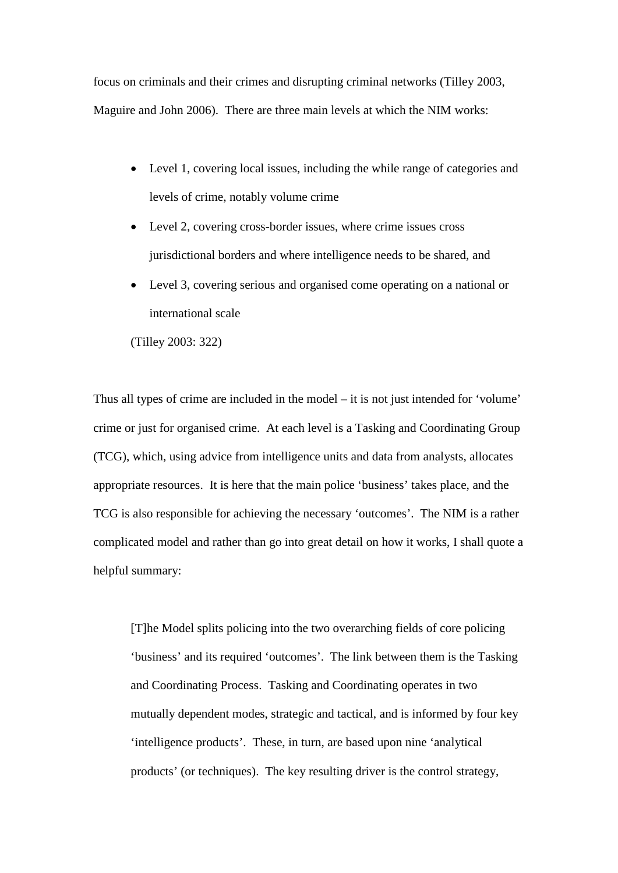focus on criminals and their crimes and disrupting criminal networks (Tilley 2003, Maguire and John 2006). There are three main levels at which the NIM works:

- Level 1, covering local issues, including the while range of categories and levels of crime, notably volume crime
- Level 2, covering cross-border issues, where crime issues cross jurisdictional borders and where intelligence needs to be shared, and
- Level 3, covering serious and organised come operating on a national or international scale

(Tilley 2003: 322)

Thus all types of crime are included in the model – it is not just intended for 'volume' crime or just for organised crime. At each level is a Tasking and Coordinating Group (TCG), which, using advice from intelligence units and data from analysts, allocates appropriate resources. It is here that the main police 'business' takes place, and the TCG is also responsible for achieving the necessary 'outcomes'. The NIM is a rather complicated model and rather than go into great detail on how it works, I shall quote a helpful summary:

[T]he Model splits policing into the two overarching fields of core policing 'business' and its required 'outcomes'. The link between them is the Tasking and Coordinating Process. Tasking and Coordinating operates in two mutually dependent modes, strategic and tactical, and is informed by four key 'intelligence products'. These, in turn, are based upon nine 'analytical products' (or techniques). The key resulting driver is the control strategy,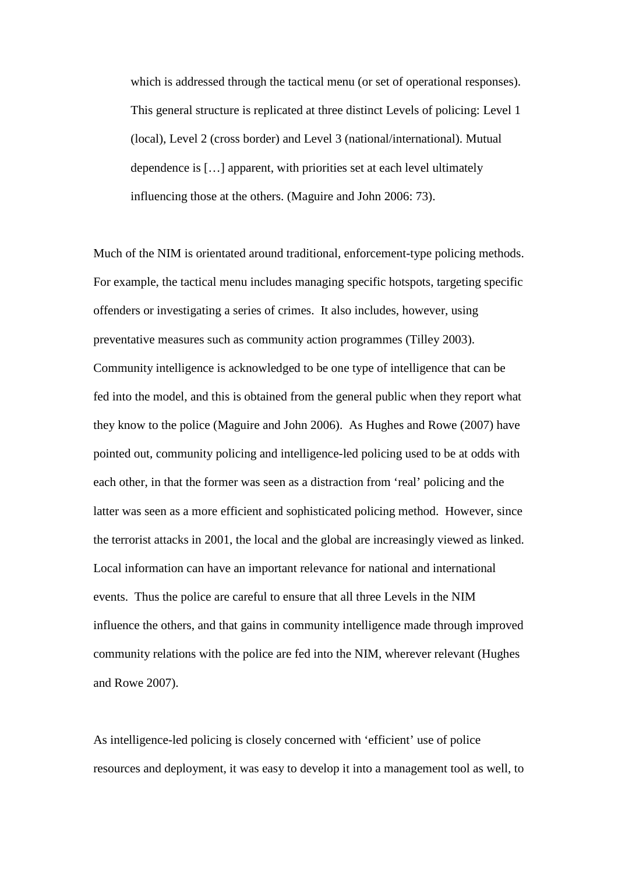which is addressed through the tactical menu (or set of operational responses). This general structure is replicated at three distinct Levels of policing: Level 1 (local), Level 2 (cross border) and Level 3 (national/international). Mutual dependence is […] apparent, with priorities set at each level ultimately influencing those at the others. (Maguire and John 2006: 73).

Much of the NIM is orientated around traditional, enforcement-type policing methods. For example, the tactical menu includes managing specific hotspots, targeting specific offenders or investigating a series of crimes. It also includes, however, using preventative measures such as community action programmes (Tilley 2003). Community intelligence is acknowledged to be one type of intelligence that can be fed into the model, and this is obtained from the general public when they report what they know to the police (Maguire and John 2006). As Hughes and Rowe (2007) have pointed out, community policing and intelligence-led policing used to be at odds with each other, in that the former was seen as a distraction from 'real' policing and the latter was seen as a more efficient and sophisticated policing method. However, since the terrorist attacks in 2001, the local and the global are increasingly viewed as linked. Local information can have an important relevance for national and international events. Thus the police are careful to ensure that all three Levels in the NIM influence the others, and that gains in community intelligence made through improved community relations with the police are fed into the NIM, wherever relevant (Hughes and Rowe 2007).

As intelligence-led policing is closely concerned with 'efficient' use of police resources and deployment, it was easy to develop it into a management tool as well, to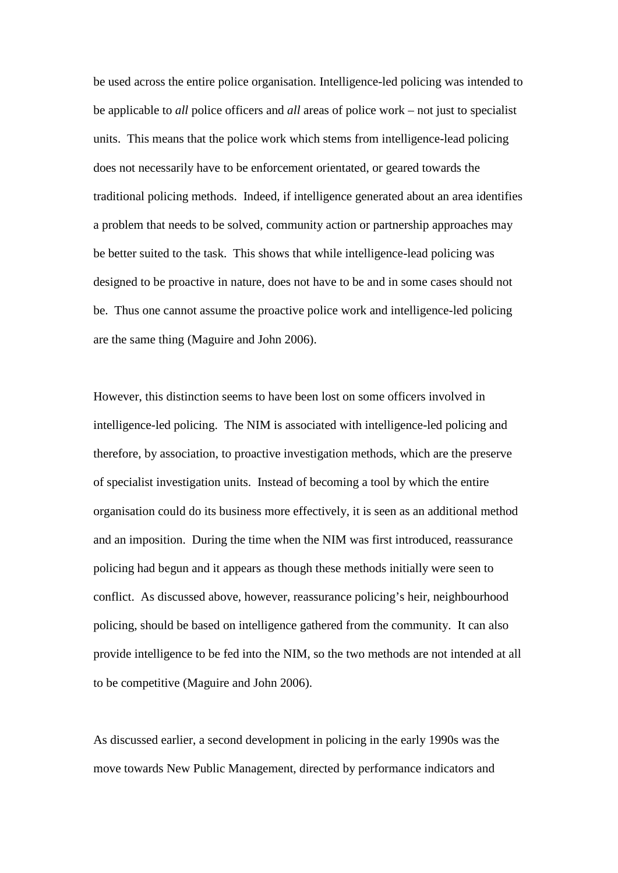be used across the entire police organisation. Intelligence-led policing was intended to be applicable to *all* police officers and *all* areas of police work – not just to specialist units. This means that the police work which stems from intelligence-lead policing does not necessarily have to be enforcement orientated, or geared towards the traditional policing methods. Indeed, if intelligence generated about an area identifies a problem that needs to be solved, community action or partnership approaches may be better suited to the task. This shows that while intelligence-lead policing was designed to be proactive in nature, does not have to be and in some cases should not be. Thus one cannot assume the proactive police work and intelligence-led policing are the same thing (Maguire and John 2006).

However, this distinction seems to have been lost on some officers involved in intelligence-led policing. The NIM is associated with intelligence-led policing and therefore, by association, to proactive investigation methods, which are the preserve of specialist investigation units. Instead of becoming a tool by which the entire organisation could do its business more effectively, it is seen as an additional method and an imposition. During the time when the NIM was first introduced, reassurance policing had begun and it appears as though these methods initially were seen to conflict. As discussed above, however, reassurance policing's heir, neighbourhood policing, should be based on intelligence gathered from the community. It can also provide intelligence to be fed into the NIM, so the two methods are not intended at all to be competitive (Maguire and John 2006).

As discussed earlier, a second development in policing in the early 1990s was the move towards New Public Management, directed by performance indicators and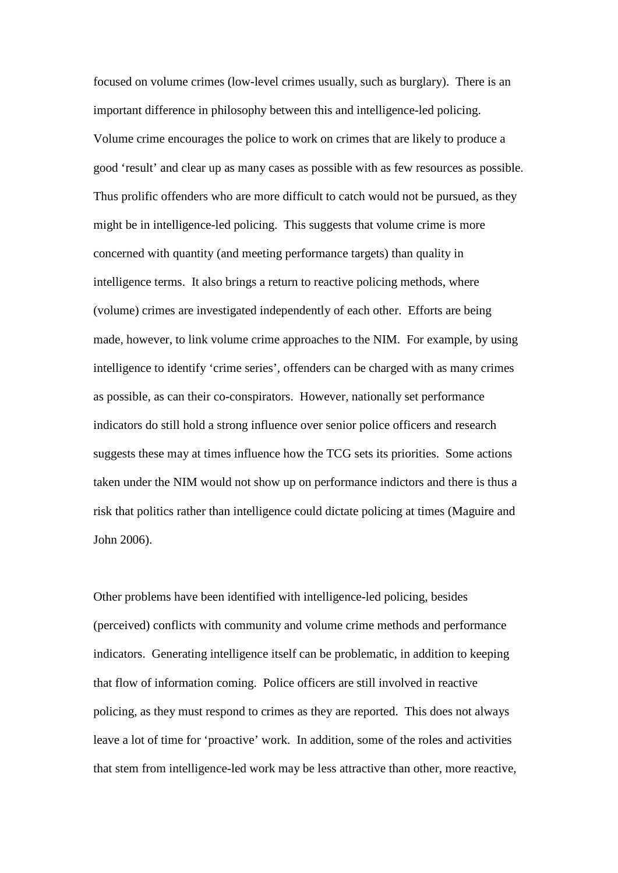focused on volume crimes (low-level crimes usually, such as burglary). There is an important difference in philosophy between this and intelligence-led policing. Volume crime encourages the police to work on crimes that are likely to produce a good 'result' and clear up as many cases as possible with as few resources as possible. Thus prolific offenders who are more difficult to catch would not be pursued, as they might be in intelligence-led policing. This suggests that volume crime is more concerned with quantity (and meeting performance targets) than quality in intelligence terms. It also brings a return to reactive policing methods, where (volume) crimes are investigated independently of each other. Efforts are being made, however, to link volume crime approaches to the NIM. For example, by using intelligence to identify 'crime series', offenders can be charged with as many crimes as possible, as can their co-conspirators. However, nationally set performance indicators do still hold a strong influence over senior police officers and research suggests these may at times influence how the TCG sets its priorities. Some actions taken under the NIM would not show up on performance indictors and there is thus a risk that politics rather than intelligence could dictate policing at times (Maguire and John 2006).

Other problems have been identified with intelligence-led policing, besides (perceived) conflicts with community and volume crime methods and performance indicators. Generating intelligence itself can be problematic, in addition to keeping that flow of information coming. Police officers are still involved in reactive policing, as they must respond to crimes as they are reported. This does not always leave a lot of time for 'proactive' work. In addition, some of the roles and activities that stem from intelligence-led work may be less attractive than other, more reactive,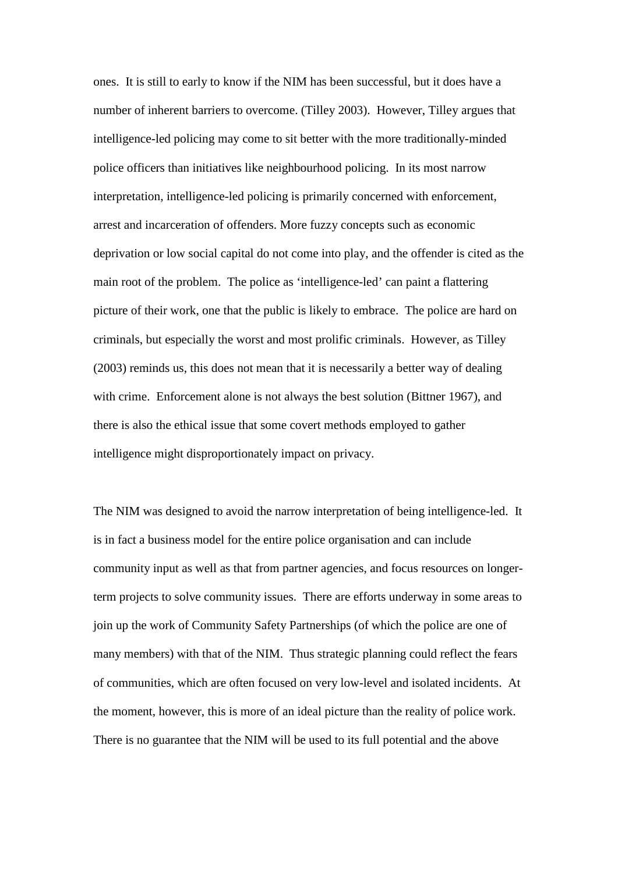ones. It is still to early to know if the NIM has been successful, but it does have a number of inherent barriers to overcome. (Tilley 2003). However, Tilley argues that intelligence-led policing may come to sit better with the more traditionally-minded police officers than initiatives like neighbourhood policing. In its most narrow interpretation, intelligence-led policing is primarily concerned with enforcement, arrest and incarceration of offenders. More fuzzy concepts such as economic deprivation or low social capital do not come into play, and the offender is cited as the main root of the problem. The police as 'intelligence-led' can paint a flattering picture of their work, one that the public is likely to embrace. The police are hard on criminals, but especially the worst and most prolific criminals. However, as Tilley (2003) reminds us, this does not mean that it is necessarily a better way of dealing with crime. Enforcement alone is not always the best solution (Bittner 1967), and there is also the ethical issue that some covert methods employed to gather intelligence might disproportionately impact on privacy.

The NIM was designed to avoid the narrow interpretation of being intelligence-led. It is in fact a business model for the entire police organisation and can include community input as well as that from partner agencies, and focus resources on longerterm projects to solve community issues. There are efforts underway in some areas to join up the work of Community Safety Partnerships (of which the police are one of many members) with that of the NIM. Thus strategic planning could reflect the fears of communities, which are often focused on very low-level and isolated incidents. At the moment, however, this is more of an ideal picture than the reality of police work. There is no guarantee that the NIM will be used to its full potential and the above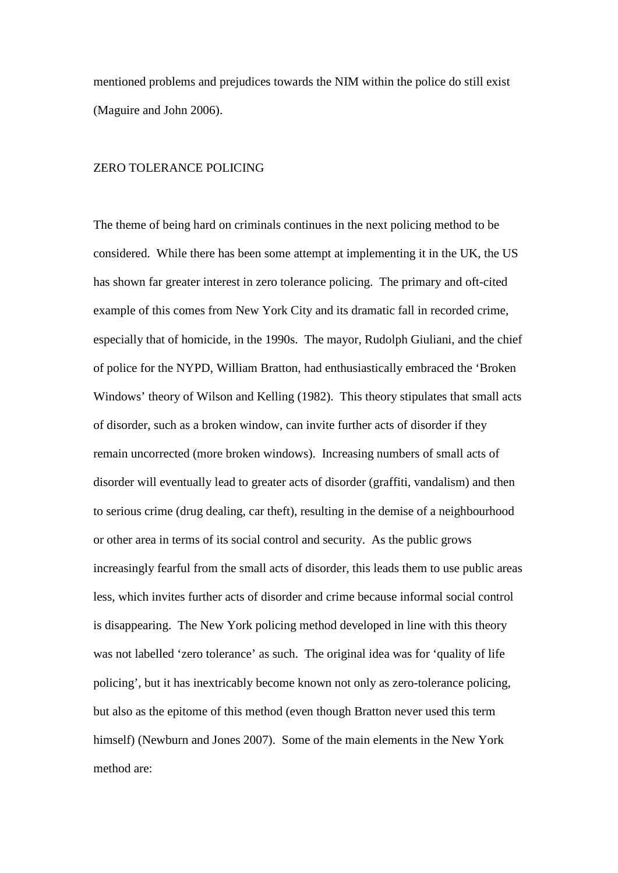mentioned problems and prejudices towards the NIM within the police do still exist (Maguire and John 2006).

#### ZERO TOLERANCE POLICING

The theme of being hard on criminals continues in the next policing method to be considered. While there has been some attempt at implementing it in the UK, the US has shown far greater interest in zero tolerance policing. The primary and oft-cited example of this comes from New York City and its dramatic fall in recorded crime, especially that of homicide, in the 1990s. The mayor, Rudolph Giuliani, and the chief of police for the NYPD, William Bratton, had enthusiastically embraced the 'Broken Windows' theory of Wilson and Kelling (1982). This theory stipulates that small acts of disorder, such as a broken window, can invite further acts of disorder if they remain uncorrected (more broken windows). Increasing numbers of small acts of disorder will eventually lead to greater acts of disorder (graffiti, vandalism) and then to serious crime (drug dealing, car theft), resulting in the demise of a neighbourhood or other area in terms of its social control and security. As the public grows increasingly fearful from the small acts of disorder, this leads them to use public areas less, which invites further acts of disorder and crime because informal social control is disappearing. The New York policing method developed in line with this theory was not labelled 'zero tolerance' as such. The original idea was for 'quality of life policing', but it has inextricably become known not only as zero-tolerance policing, but also as the epitome of this method (even though Bratton never used this term himself) (Newburn and Jones 2007). Some of the main elements in the New York method are: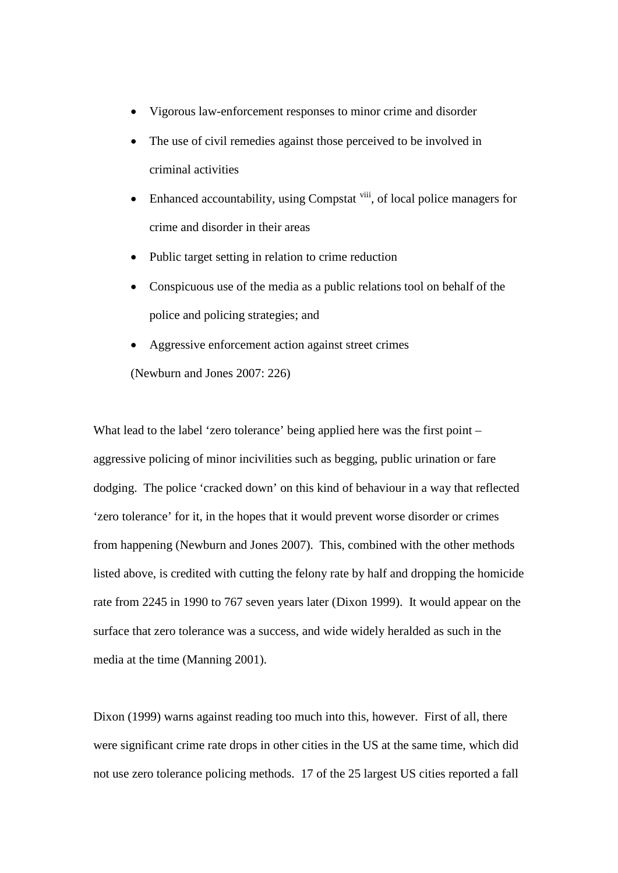- Vigorous law-enforcement responses to minor crime and disorder
- The use of civil remedies against those perceived to be involved in criminal activities
- Enhanced accountability, using Compstat [viii](#page-47-7), of local police managers for crime and disorder in their areas
- Public target setting in relation to crime reduction
- Conspicuous use of the media as a public relations tool on behalf of the police and policing strategies; and
- Aggressive enforcement action against street crimes (Newburn and Jones 2007: 226)

What lead to the label 'zero tolerance' being applied here was the first point – aggressive policing of minor incivilities such as begging, public urination or fare dodging. The police 'cracked down' on this kind of behaviour in a way that reflected 'zero tolerance' for it, in the hopes that it would prevent worse disorder or crimes from happening (Newburn and Jones 2007). This, combined with the other methods listed above, is credited with cutting the felony rate by half and dropping the homicide rate from 2245 in 1990 to 767 seven years later (Dixon 1999). It would appear on the surface that zero tolerance was a success, and wide widely heralded as such in the media at the time (Manning 2001).

Dixon (1999) warns against reading too much into this, however. First of all, there were significant crime rate drops in other cities in the US at the same time, which did not use zero tolerance policing methods. 17 of the 25 largest US cities reported a fall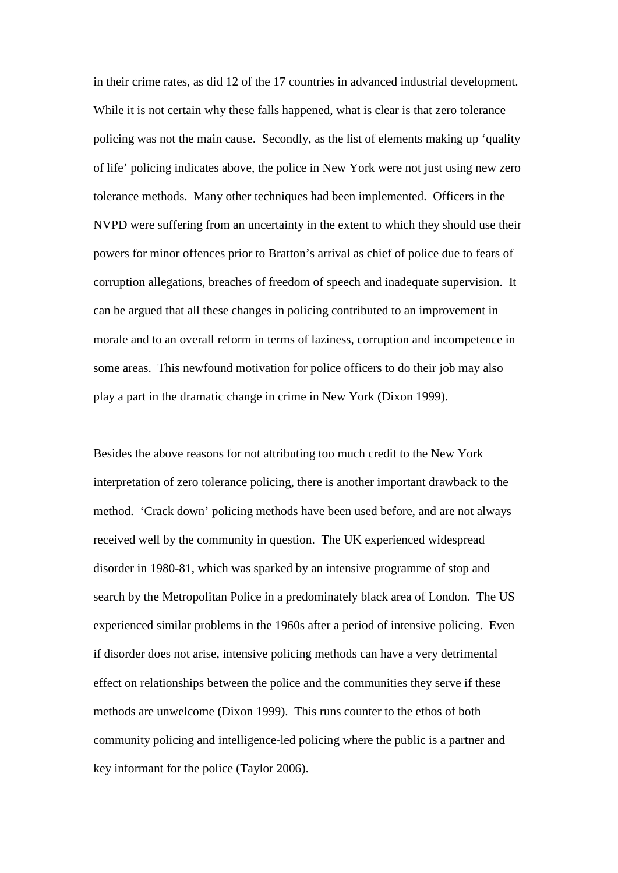in their crime rates, as did 12 of the 17 countries in advanced industrial development. While it is not certain why these falls happened, what is clear is that zero tolerance policing was not the main cause. Secondly, as the list of elements making up 'quality of life' policing indicates above, the police in New York were not just using new zero tolerance methods. Many other techniques had been implemented. Officers in the NVPD were suffering from an uncertainty in the extent to which they should use their powers for minor offences prior to Bratton's arrival as chief of police due to fears of corruption allegations, breaches of freedom of speech and inadequate supervision. It can be argued that all these changes in policing contributed to an improvement in morale and to an overall reform in terms of laziness, corruption and incompetence in some areas. This newfound motivation for police officers to do their job may also play a part in the dramatic change in crime in New York (Dixon 1999).

Besides the above reasons for not attributing too much credit to the New York interpretation of zero tolerance policing, there is another important drawback to the method. 'Crack down' policing methods have been used before, and are not always received well by the community in question. The UK experienced widespread disorder in 1980-81, which was sparked by an intensive programme of stop and search by the Metropolitan Police in a predominately black area of London. The US experienced similar problems in the 1960s after a period of intensive policing. Even if disorder does not arise, intensive policing methods can have a very detrimental effect on relationships between the police and the communities they serve if these methods are unwelcome (Dixon 1999). This runs counter to the ethos of both community policing and intelligence-led policing where the public is a partner and key informant for the police (Taylor 2006).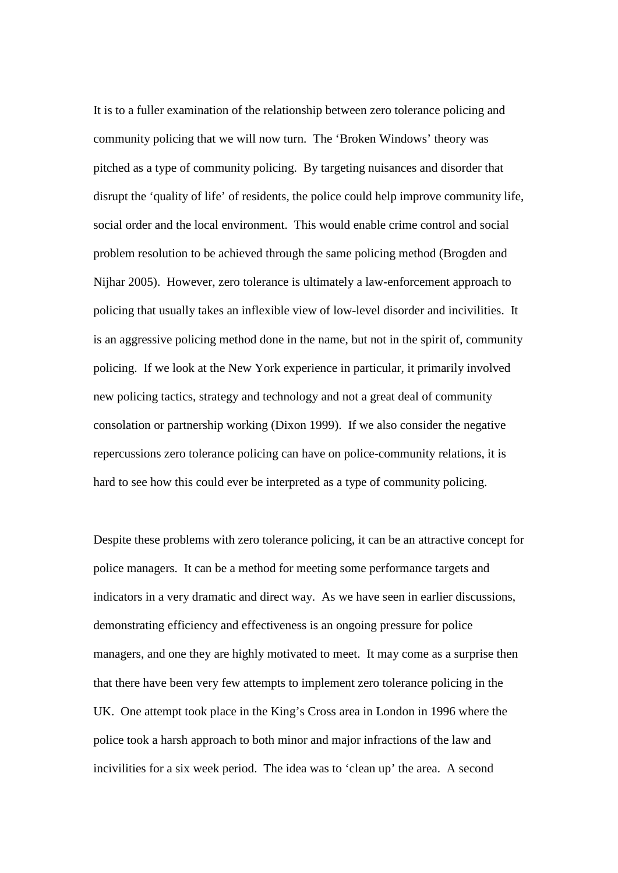It is to a fuller examination of the relationship between zero tolerance policing and community policing that we will now turn. The 'Broken Windows' theory was pitched as a type of community policing. By targeting nuisances and disorder that disrupt the 'quality of life' of residents, the police could help improve community life, social order and the local environment. This would enable crime control and social problem resolution to be achieved through the same policing method (Brogden and Nijhar 2005). However, zero tolerance is ultimately a law-enforcement approach to policing that usually takes an inflexible view of low-level disorder and incivilities. It is an aggressive policing method done in the name, but not in the spirit of, community policing. If we look at the New York experience in particular, it primarily involved new policing tactics, strategy and technology and not a great deal of community consolation or partnership working (Dixon 1999). If we also consider the negative repercussions zero tolerance policing can have on police-community relations, it is hard to see how this could ever be interpreted as a type of community policing.

Despite these problems with zero tolerance policing, it can be an attractive concept for police managers. It can be a method for meeting some performance targets and indicators in a very dramatic and direct way. As we have seen in earlier discussions, demonstrating efficiency and effectiveness is an ongoing pressure for police managers, and one they are highly motivated to meet. It may come as a surprise then that there have been very few attempts to implement zero tolerance policing in the UK. One attempt took place in the King's Cross area in London in 1996 where the police took a harsh approach to both minor and major infractions of the law and incivilities for a six week period. The idea was to 'clean up' the area. A second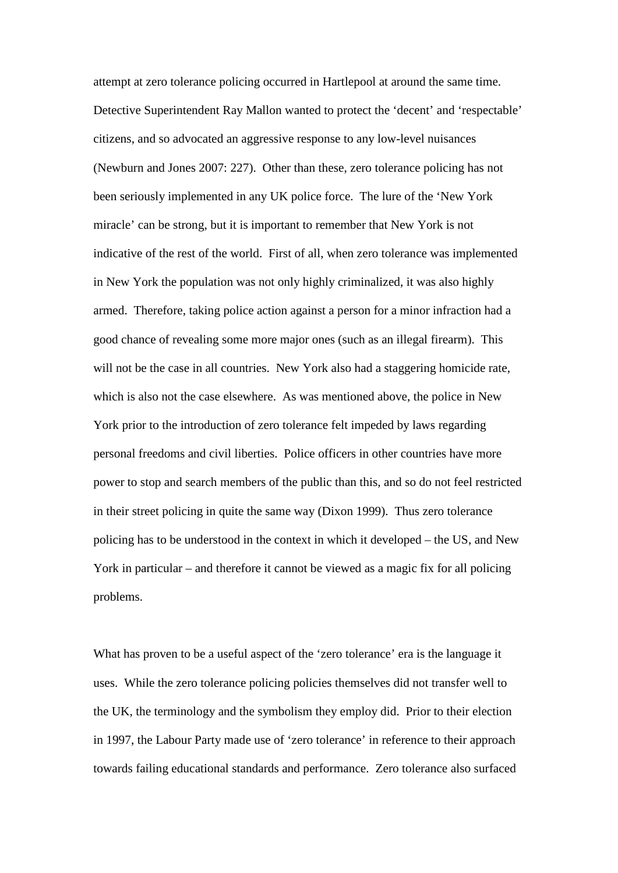attempt at zero tolerance policing occurred in Hartlepool at around the same time. Detective Superintendent Ray Mallon wanted to protect the 'decent' and 'respectable' citizens, and so advocated an aggressive response to any low-level nuisances (Newburn and Jones 2007: 227). Other than these, zero tolerance policing has not been seriously implemented in any UK police force. The lure of the 'New York miracle' can be strong, but it is important to remember that New York is not indicative of the rest of the world. First of all, when zero tolerance was implemented in New York the population was not only highly criminalized, it was also highly armed. Therefore, taking police action against a person for a minor infraction had a good chance of revealing some more major ones (such as an illegal firearm). This will not be the case in all countries. New York also had a staggering homicide rate, which is also not the case elsewhere. As was mentioned above, the police in New York prior to the introduction of zero tolerance felt impeded by laws regarding personal freedoms and civil liberties. Police officers in other countries have more power to stop and search members of the public than this, and so do not feel restricted in their street policing in quite the same way (Dixon 1999). Thus zero tolerance policing has to be understood in the context in which it developed – the US, and New York in particular – and therefore it cannot be viewed as a magic fix for all policing problems.

What has proven to be a useful aspect of the 'zero tolerance' era is the language it uses. While the zero tolerance policing policies themselves did not transfer well to the UK, the terminology and the symbolism they employ did. Prior to their election in 1997, the Labour Party made use of 'zero tolerance' in reference to their approach towards failing educational standards and performance. Zero tolerance also surfaced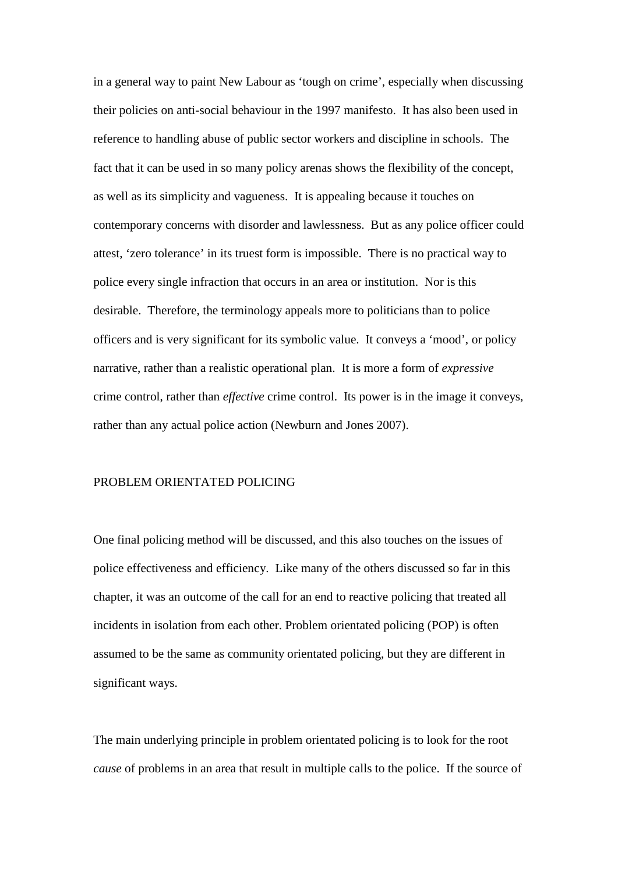in a general way to paint New Labour as 'tough on crime', especially when discussing their policies on anti-social behaviour in the 1997 manifesto. It has also been used in reference to handling abuse of public sector workers and discipline in schools. The fact that it can be used in so many policy arenas shows the flexibility of the concept, as well as its simplicity and vagueness. It is appealing because it touches on contemporary concerns with disorder and lawlessness. But as any police officer could attest, 'zero tolerance' in its truest form is impossible. There is no practical way to police every single infraction that occurs in an area or institution. Nor is this desirable. Therefore, the terminology appeals more to politicians than to police officers and is very significant for its symbolic value. It conveys a 'mood', or policy narrative, rather than a realistic operational plan. It is more a form of *expressive* crime control, rather than *effective* crime control. Its power is in the image it conveys, rather than any actual police action (Newburn and Jones 2007).

### PROBLEM ORIENTATED POLICING

One final policing method will be discussed, and this also touches on the issues of police effectiveness and efficiency. Like many of the others discussed so far in this chapter, it was an outcome of the call for an end to reactive policing that treated all incidents in isolation from each other. Problem orientated policing (POP) is often assumed to be the same as community orientated policing, but they are different in significant ways.

The main underlying principle in problem orientated policing is to look for the root *cause* of problems in an area that result in multiple calls to the police. If the source of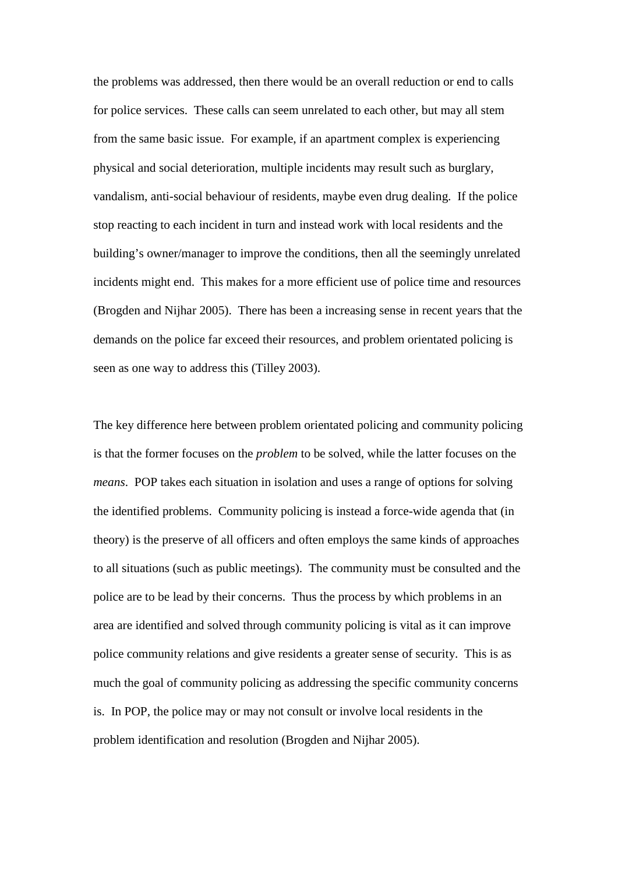the problems was addressed, then there would be an overall reduction or end to calls for police services. These calls can seem unrelated to each other, but may all stem from the same basic issue. For example, if an apartment complex is experiencing physical and social deterioration, multiple incidents may result such as burglary, vandalism, anti-social behaviour of residents, maybe even drug dealing. If the police stop reacting to each incident in turn and instead work with local residents and the building's owner/manager to improve the conditions, then all the seemingly unrelated incidents might end. This makes for a more efficient use of police time and resources (Brogden and Nijhar 2005). There has been a increasing sense in recent years that the demands on the police far exceed their resources, and problem orientated policing is seen as one way to address this (Tilley 2003).

The key difference here between problem orientated policing and community policing is that the former focuses on the *problem* to be solved, while the latter focuses on the *means*. POP takes each situation in isolation and uses a range of options for solving the identified problems. Community policing is instead a force-wide agenda that (in theory) is the preserve of all officers and often employs the same kinds of approaches to all situations (such as public meetings). The community must be consulted and the police are to be lead by their concerns. Thus the process by which problems in an area are identified and solved through community policing is vital as it can improve police community relations and give residents a greater sense of security. This is as much the goal of community policing as addressing the specific community concerns is. In POP, the police may or may not consult or involve local residents in the problem identification and resolution (Brogden and Nijhar 2005).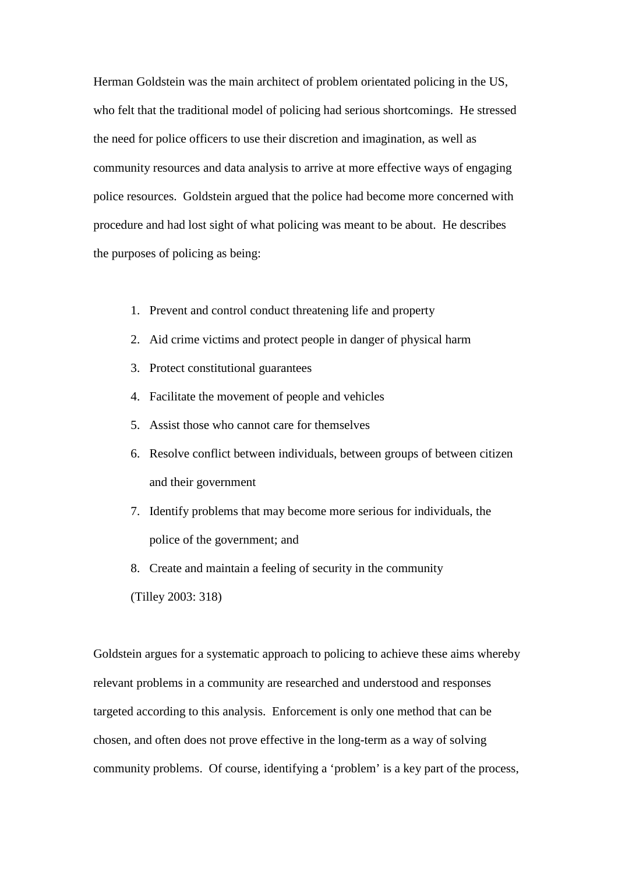Herman Goldstein was the main architect of problem orientated policing in the US, who felt that the traditional model of policing had serious shortcomings. He stressed the need for police officers to use their discretion and imagination, as well as community resources and data analysis to arrive at more effective ways of engaging police resources. Goldstein argued that the police had become more concerned with procedure and had lost sight of what policing was meant to be about. He describes the purposes of policing as being:

- 1. Prevent and control conduct threatening life and property
- 2. Aid crime victims and protect people in danger of physical harm
- 3. Protect constitutional guarantees
- 4. Facilitate the movement of people and vehicles
- 5. Assist those who cannot care for themselves
- 6. Resolve conflict between individuals, between groups of between citizen and their government
- 7. Identify problems that may become more serious for individuals, the police of the government; and
- 8. Create and maintain a feeling of security in the community
- (Tilley 2003: 318)

Goldstein argues for a systematic approach to policing to achieve these aims whereby relevant problems in a community are researched and understood and responses targeted according to this analysis. Enforcement is only one method that can be chosen, and often does not prove effective in the long-term as a way of solving community problems. Of course, identifying a 'problem' is a key part of the process,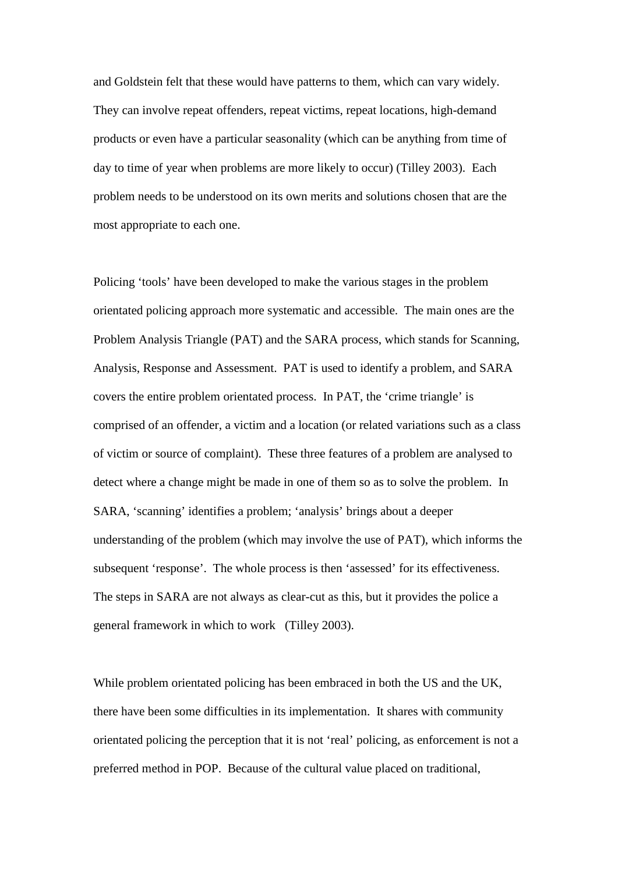and Goldstein felt that these would have patterns to them, which can vary widely. They can involve repeat offenders, repeat victims, repeat locations, high-demand products or even have a particular seasonality (which can be anything from time of day to time of year when problems are more likely to occur) (Tilley 2003). Each problem needs to be understood on its own merits and solutions chosen that are the most appropriate to each one.

Policing 'tools' have been developed to make the various stages in the problem orientated policing approach more systematic and accessible. The main ones are the Problem Analysis Triangle (PAT) and the SARA process, which stands for Scanning, Analysis, Response and Assessment. PAT is used to identify a problem, and SARA covers the entire problem orientated process. In PAT, the 'crime triangle' is comprised of an offender, a victim and a location (or related variations such as a class of victim or source of complaint). These three features of a problem are analysed to detect where a change might be made in one of them so as to solve the problem. In SARA, 'scanning' identifies a problem; 'analysis' brings about a deeper understanding of the problem (which may involve the use of PAT), which informs the subsequent 'response'. The whole process is then 'assessed' for its effectiveness. The steps in SARA are not always as clear-cut as this, but it provides the police a general framework in which to work (Tilley 2003).

While problem orientated policing has been embraced in both the US and the UK, there have been some difficulties in its implementation. It shares with community orientated policing the perception that it is not 'real' policing, as enforcement is not a preferred method in POP. Because of the cultural value placed on traditional,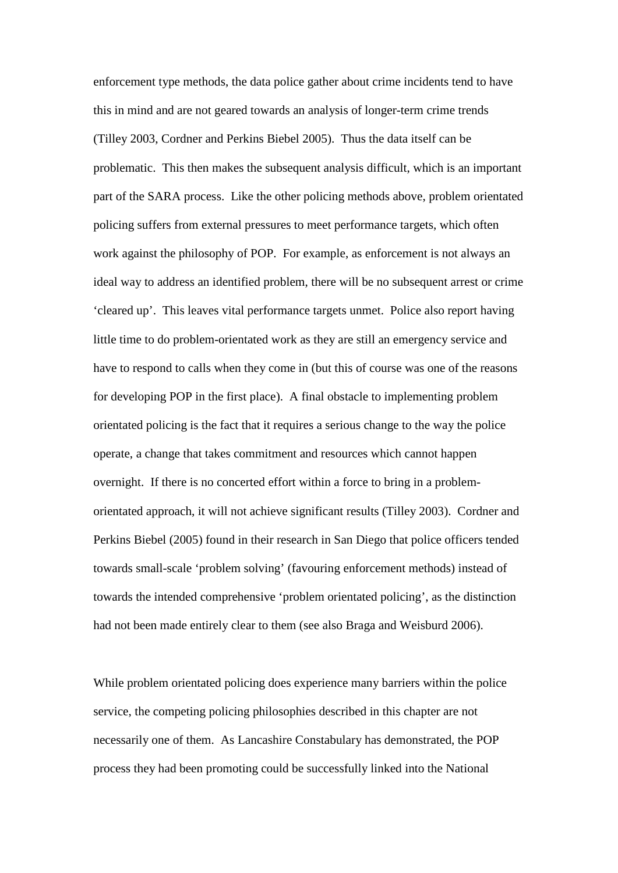enforcement type methods, the data police gather about crime incidents tend to have this in mind and are not geared towards an analysis of longer-term crime trends (Tilley 2003, Cordner and Perkins Biebel 2005). Thus the data itself can be problematic. This then makes the subsequent analysis difficult, which is an important part of the SARA process. Like the other policing methods above, problem orientated policing suffers from external pressures to meet performance targets, which often work against the philosophy of POP. For example, as enforcement is not always an ideal way to address an identified problem, there will be no subsequent arrest or crime 'cleared up'. This leaves vital performance targets unmet. Police also report having little time to do problem-orientated work as they are still an emergency service and have to respond to calls when they come in (but this of course was one of the reasons for developing POP in the first place). A final obstacle to implementing problem orientated policing is the fact that it requires a serious change to the way the police operate, a change that takes commitment and resources which cannot happen overnight. If there is no concerted effort within a force to bring in a problemorientated approach, it will not achieve significant results (Tilley 2003). Cordner and Perkins Biebel (2005) found in their research in San Diego that police officers tended towards small-scale 'problem solving' (favouring enforcement methods) instead of towards the intended comprehensive 'problem orientated policing', as the distinction had not been made entirely clear to them (see also Braga and Weisburd 2006).

While problem orientated policing does experience many barriers within the police service, the competing policing philosophies described in this chapter are not necessarily one of them. As Lancashire Constabulary has demonstrated, the POP process they had been promoting could be successfully linked into the National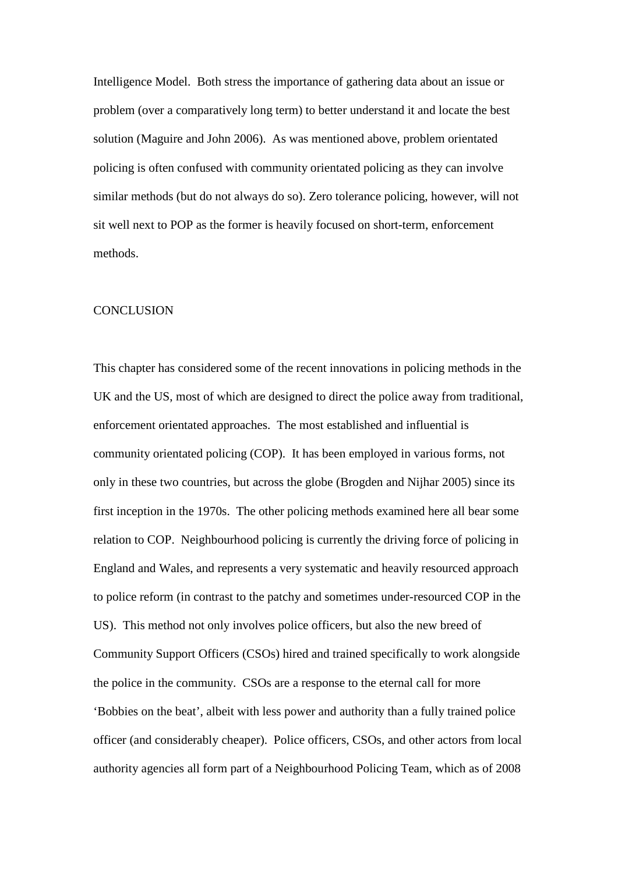Intelligence Model. Both stress the importance of gathering data about an issue or problem (over a comparatively long term) to better understand it and locate the best solution (Maguire and John 2006). As was mentioned above, problem orientated policing is often confused with community orientated policing as they can involve similar methods (but do not always do so). Zero tolerance policing, however, will not sit well next to POP as the former is heavily focused on short-term, enforcement methods.

#### **CONCLUSION**

This chapter has considered some of the recent innovations in policing methods in the UK and the US, most of which are designed to direct the police away from traditional, enforcement orientated approaches. The most established and influential is community orientated policing (COP). It has been employed in various forms, not only in these two countries, but across the globe (Brogden and Nijhar 2005) since its first inception in the 1970s. The other policing methods examined here all bear some relation to COP. Neighbourhood policing is currently the driving force of policing in England and Wales, and represents a very systematic and heavily resourced approach to police reform (in contrast to the patchy and sometimes under-resourced COP in the US). This method not only involves police officers, but also the new breed of Community Support Officers (CSOs) hired and trained specifically to work alongside the police in the community. CSOs are a response to the eternal call for more 'Bobbies on the beat', albeit with less power and authority than a fully trained police officer (and considerably cheaper). Police officers, CSOs, and other actors from local authority agencies all form part of a Neighbourhood Policing Team, which as of 2008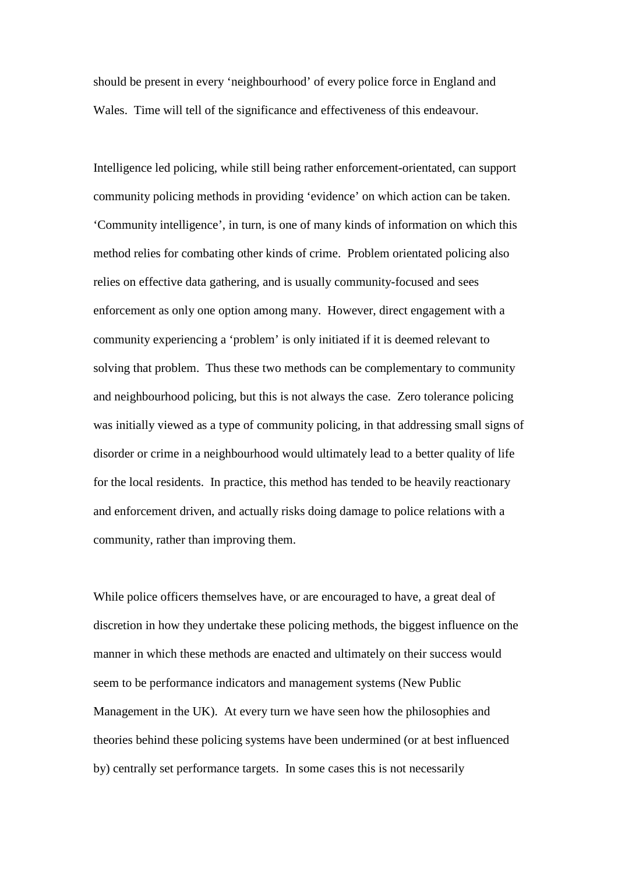should be present in every 'neighbourhood' of every police force in England and Wales. Time will tell of the significance and effectiveness of this endeavour.

Intelligence led policing, while still being rather enforcement-orientated, can support community policing methods in providing 'evidence' on which action can be taken. 'Community intelligence', in turn, is one of many kinds of information on which this method relies for combating other kinds of crime. Problem orientated policing also relies on effective data gathering, and is usually community-focused and sees enforcement as only one option among many. However, direct engagement with a community experiencing a 'problem' is only initiated if it is deemed relevant to solving that problem. Thus these two methods can be complementary to community and neighbourhood policing, but this is not always the case. Zero tolerance policing was initially viewed as a type of community policing, in that addressing small signs of disorder or crime in a neighbourhood would ultimately lead to a better quality of life for the local residents. In practice, this method has tended to be heavily reactionary and enforcement driven, and actually risks doing damage to police relations with a community, rather than improving them.

While police officers themselves have, or are encouraged to have, a great deal of discretion in how they undertake these policing methods, the biggest influence on the manner in which these methods are enacted and ultimately on their success would seem to be performance indicators and management systems (New Public Management in the UK). At every turn we have seen how the philosophies and theories behind these policing systems have been undermined (or at best influenced by) centrally set performance targets. In some cases this is not necessarily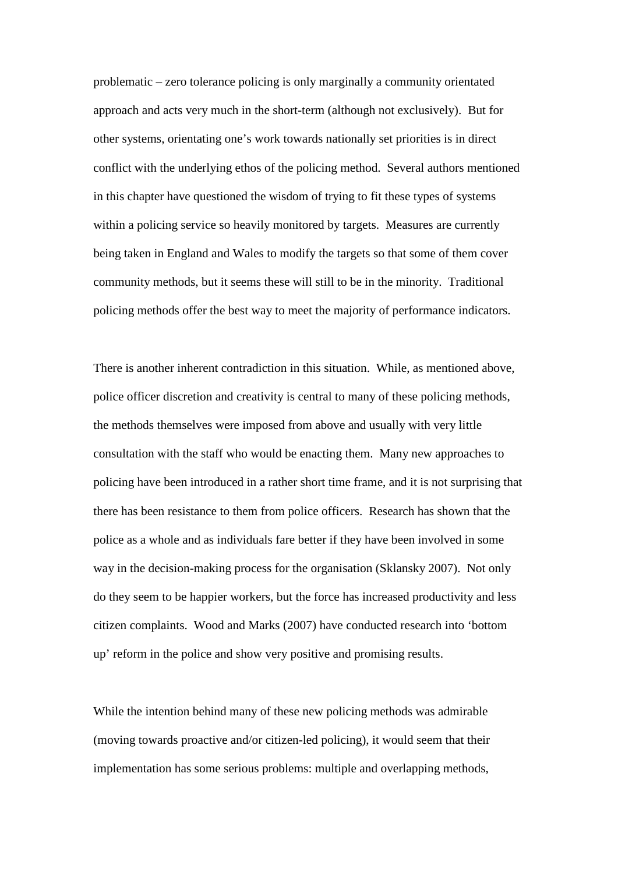problematic – zero tolerance policing is only marginally a community orientated approach and acts very much in the short-term (although not exclusively). But for other systems, orientating one's work towards nationally set priorities is in direct conflict with the underlying ethos of the policing method. Several authors mentioned in this chapter have questioned the wisdom of trying to fit these types of systems within a policing service so heavily monitored by targets. Measures are currently being taken in England and Wales to modify the targets so that some of them cover community methods, but it seems these will still to be in the minority. Traditional policing methods offer the best way to meet the majority of performance indicators.

There is another inherent contradiction in this situation. While, as mentioned above, police officer discretion and creativity is central to many of these policing methods, the methods themselves were imposed from above and usually with very little consultation with the staff who would be enacting them. Many new approaches to policing have been introduced in a rather short time frame, and it is not surprising that there has been resistance to them from police officers. Research has shown that the police as a whole and as individuals fare better if they have been involved in some way in the decision-making process for the organisation (Sklansky 2007). Not only do they seem to be happier workers, but the force has increased productivity and less citizen complaints. Wood and Marks (2007) have conducted research into 'bottom up' reform in the police and show very positive and promising results.

While the intention behind many of these new policing methods was admirable (moving towards proactive and/or citizen-led policing), it would seem that their implementation has some serious problems: multiple and overlapping methods,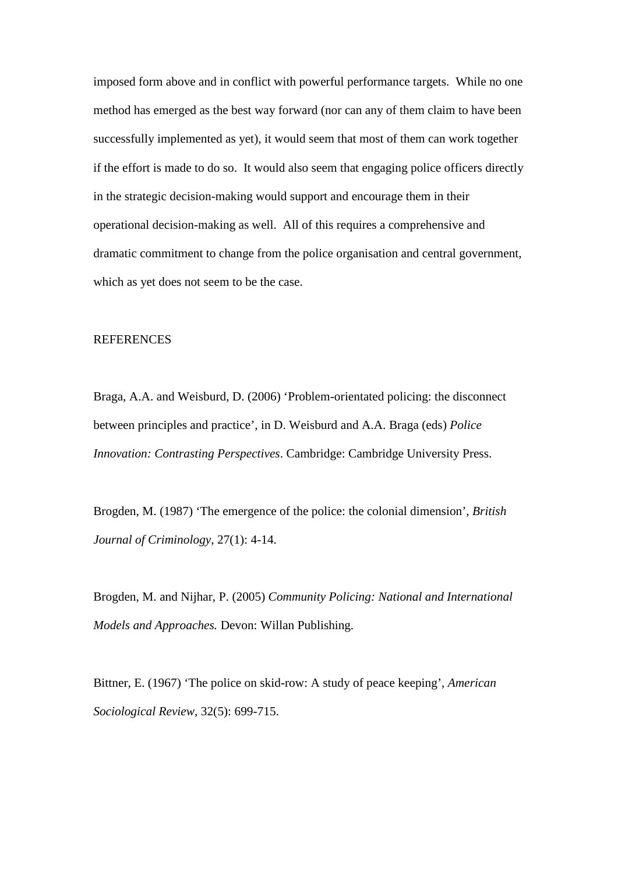imposed form above and in conflict with powerful performance targets. While no one method has emerged as the best way forward (nor can any of them claim to have been successfully implemented as yet), it would seem that most of them can work together if the effort is made to do so. It would also seem that engaging police officers directly in the strategic decision-making would support and encourage them in their operational decision-making as well. All of this requires a comprehensive and dramatic commitment to change from the police organisation and central government, which as yet does not seem to be the case.

#### **REFERENCES**

Braga, A.A. and Weisburd, D. (2006) 'Problem-orientated policing: the disconnect between principles and practice', in D. Weisburd and A.A. Braga (eds) *Police Innovation: Contrasting Perspectives*. Cambridge: Cambridge University Press.

Brogden, M. (1987) 'The emergence of the police: the colonial dimension', *British Journal of Criminology*, 27(1): 4-14.

Brogden, M. and Nijhar, P. (2005) *Community Policing: National and International Models and Approaches.* Devon: Willan Publishing.

Bittner, E. (1967) 'The police on skid-row: A study of peace keeping', *American Sociological Review*, 32(5): 699-715.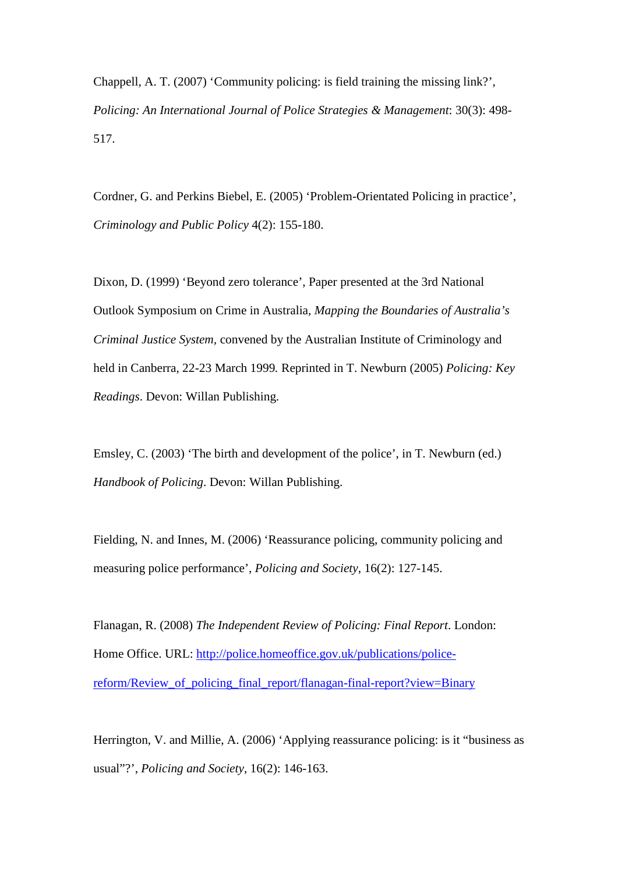Chappell, A. T. (2007) 'Community policing: is field training the missing link?', *Policing: An International Journal of Police Strategies & Management*: 30(3): 498- 517.

Cordner, G. and Perkins Biebel, E. (2005) 'Problem-Orientated Policing in practice', *Criminology and Public Policy* 4(2): 155-180.

Dixon, D. (1999) 'Beyond zero tolerance', Paper presented at the 3rd National Outlook Symposium on Crime in Australia*, Mapping the Boundaries of Australia's Criminal Justice System,* convened by the Australian Institute of Criminology and held in Canberra, 22-23 March 1999*.* Reprinted in T. Newburn (2005) *Policing: Key Readings*. Devon: Willan Publishing.

Emsley, C. (2003) 'The birth and development of the police', in T. Newburn (ed.) *Handbook of Policing*. Devon: Willan Publishing.

Fielding, N. and Innes, M. (2006) 'Reassurance policing, community policing and measuring police performance', *Policing and Society*, 16(2): 127-145.

Flanagan, R. (2008) *The Independent Review of Policing: Final Report*. London: Home Office. URL: [http://police.homeoffice.gov.uk/publications/police](http://police.homeoffice.gov.uk/publications/police-reform/Review_of_policing_final_report/flanagan-final-report?view=Binary)[reform/Review\\_of\\_policing\\_final\\_report/flanagan-final-report?view=Binary](http://police.homeoffice.gov.uk/publications/police-reform/Review_of_policing_final_report/flanagan-final-report?view=Binary)

Herrington, V. and Millie, A. (2006) 'Applying reassurance policing: is it "business as usual"?', *Policing and Society*, 16(2): 146-163.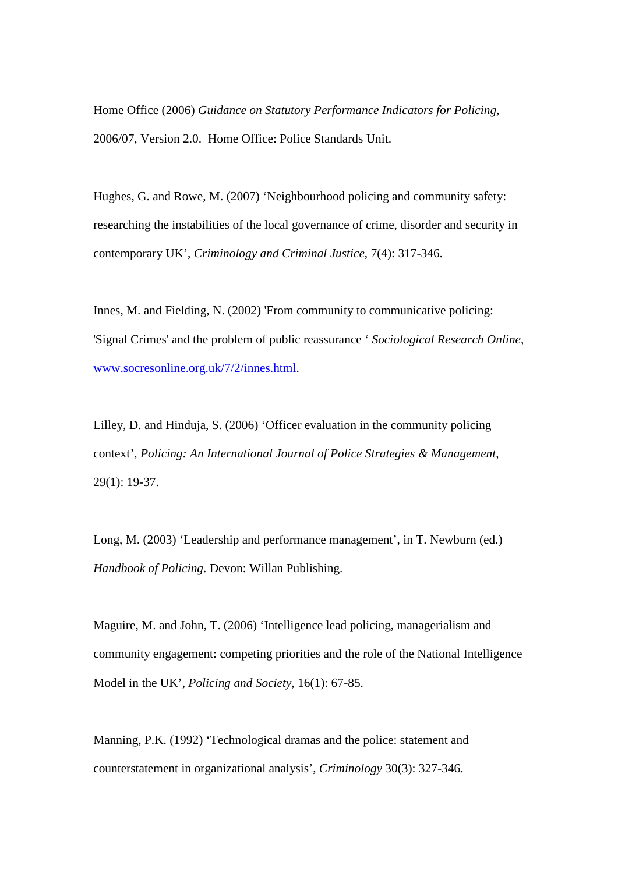Home Office (2006) *Guidance on Statutory Performance Indicators for Policing*, 2006/07, Version 2.0. Home Office: Police Standards Unit.

Hughes, G. and Rowe, M. (2007) 'Neighbourhood policing and community safety: researching the instabilities of the local governance of crime, disorder and security in contemporary UK', *Criminology and Criminal Justice*, 7(4): 317-346.

Innes, M. and Fielding, N. (2002) 'From community to communicative policing: 'Signal Crimes' and the problem of public reassurance ' *Sociological Research Online,* [www.socresonline.org.uk/7/2/innes.html.](http://www.socresonline.org.uk/7/2/innes.html)

Lilley, D. and Hinduja, S. (2006) 'Officer evaluation in the community policing context', *Policing: An International Journal of Police Strategies & Management*, 29(1): 19-37.

Long, M. (2003) 'Leadership and performance management', in T. Newburn (ed.) *Handbook of Policing*. Devon: Willan Publishing.

Maguire, M. and John, T. (2006) 'Intelligence lead policing, managerialism and community engagement: competing priorities and the role of the National Intelligence Model in the UK', *Policing and Society*, 16(1): 67-85.

Manning, P.K. (1992) 'Technological dramas and the police: statement and counterstatement in organizational analysis', *Criminology* 30(3): 327-346.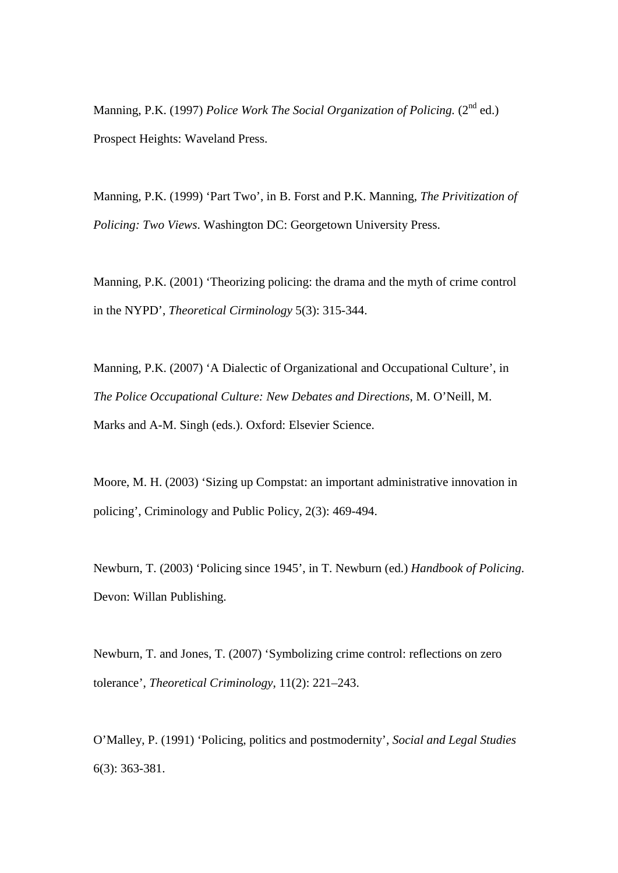Manning, P.K. (1997) *Police Work The Social Organization of Policing.* (2nd ed.) Prospect Heights: Waveland Press.

Manning, P.K. (1999) 'Part Two', in B. Forst and P.K. Manning, *The Privitization of Policing: Two Views*. Washington DC: Georgetown University Press.

Manning, P.K. (2001) 'Theorizing policing: the drama and the myth of crime control in the NYPD', *Theoretical Cirminology* 5(3): 315-344.

Manning, P.K. (2007) 'A Dialectic of Organizational and Occupational Culture', in *The Police Occupational Culture: New Debates and Directions*, M. O'Neill, M. Marks and A-M. Singh (eds.). Oxford: Elsevier Science.

Moore, M. H. (2003) 'Sizing up Compstat: an important administrative innovation in policing', Criminology and Public Policy, 2(3): 469-494.

Newburn, T. (2003) 'Policing since 1945', in T. Newburn (ed.) *Handbook of Policing*. Devon: Willan Publishing.

Newburn, T. and Jones, T. (2007) 'Symbolizing crime control: reflections on zero tolerance', *Theoretical Criminology*, 11(2): 221–243.

O'Malley, P. (1991) 'Policing, politics and postmodernity', *Social and Legal Studies* 6(3): 363-381.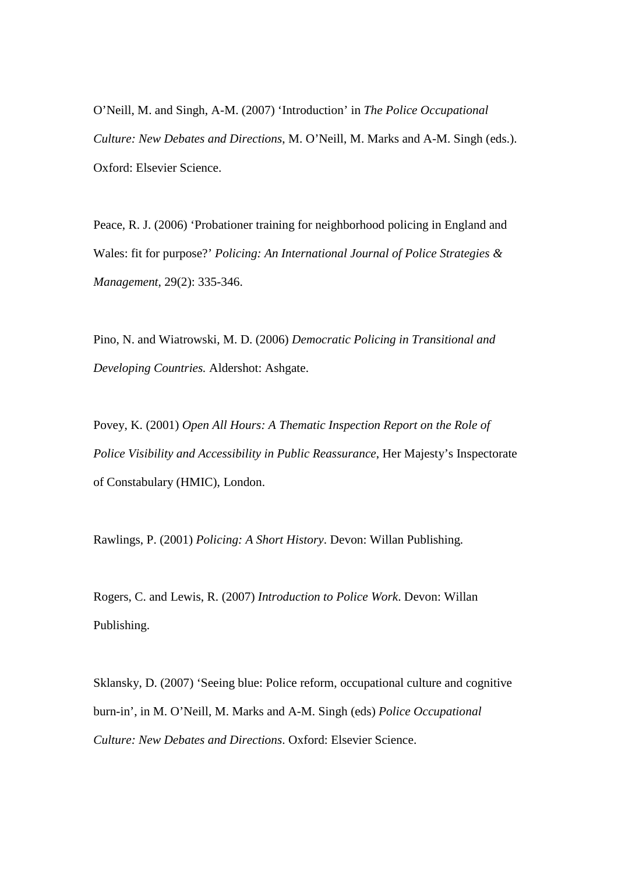O'Neill, M. and Singh, A-M. (2007) 'Introduction' in *The Police Occupational Culture: New Debates and Directions*, M. O'Neill, M. Marks and A-M. Singh (eds.). Oxford: Elsevier Science.

Peace, R. J. (2006) 'Probationer training for neighborhood policing in England and Wales: fit for purpose?' *Policing: An International Journal of Police Strategies & Management*, 29(2): 335-346.

Pino, N. and Wiatrowski, M. D. (2006) *Democratic Policing in Transitional and Developing Countries.* Aldershot: Ashgate.

Povey, K. (2001) *Open All Hours: A Thematic Inspection Report on the Role of Police Visibility and Accessibility in Public Reassurance*, Her Majesty's Inspectorate of Constabulary (HMIC), London.

Rawlings, P. (2001) *Policing: A Short History*. Devon: Willan Publishing.

Rogers, C. and Lewis, R. (2007) *Introduction to Police Work*. Devon: Willan Publishing.

Sklansky, D. (2007) 'Seeing blue: Police reform, occupational culture and cognitive burn-in', in M. O'Neill, M. Marks and A-M. Singh (eds) *Police Occupational Culture: New Debates and Directions*. Oxford: Elsevier Science.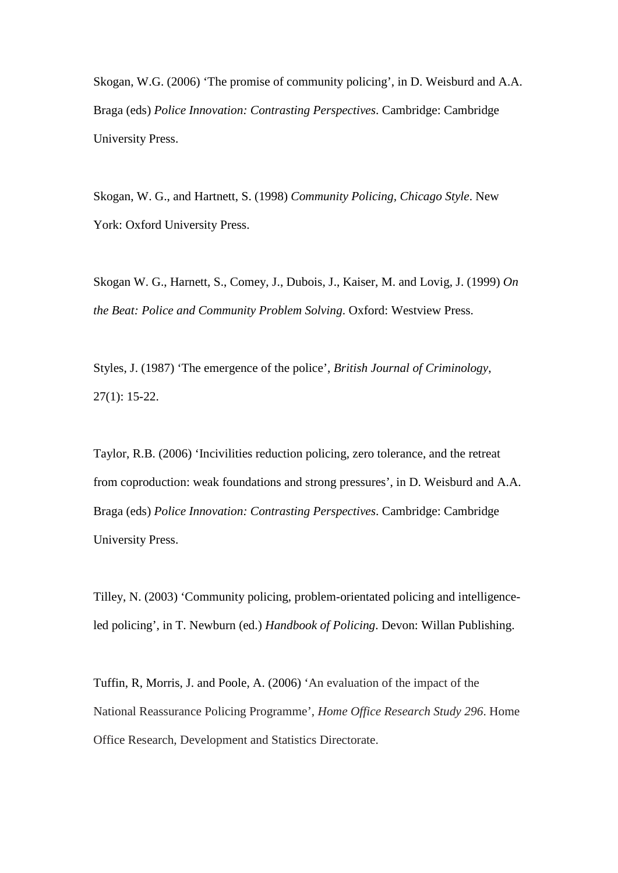Skogan, W.G. (2006) 'The promise of community policing', in D. Weisburd and A.A. Braga (eds) *Police Innovation: Contrasting Perspectives*. Cambridge: Cambridge University Press.

Skogan, W. G., and Hartnett, S. (1998) *Community Policing, Chicago Style*. New York: Oxford University Press.

Skogan W. G., Harnett, S., Comey, J., Dubois, J., Kaiser, M. and Lovig, J. (1999) *On the Beat: Police and Community Problem Solving*. Oxford: Westview Press.

Styles, J. (1987) 'The emergence of the police', *British Journal of Criminology*, 27(1): 15-22.

Taylor, R.B. (2006) 'Incivilities reduction policing, zero tolerance, and the retreat from coproduction: weak foundations and strong pressures', in D. Weisburd and A.A. Braga (eds) *Police Innovation: Contrasting Perspectives*. Cambridge: Cambridge University Press.

Tilley, N. (2003) 'Community policing, problem-orientated policing and intelligenceled policing', in T. Newburn (ed.) *Handbook of Policing*. Devon: Willan Publishing.

Tuffin, R, Morris, J. and Poole, A. (2006) 'An evaluation of the impact of the National Reassurance Policing Programme', *Home Office Research Study 296*. Home Office Research, Development and Statistics Directorate.